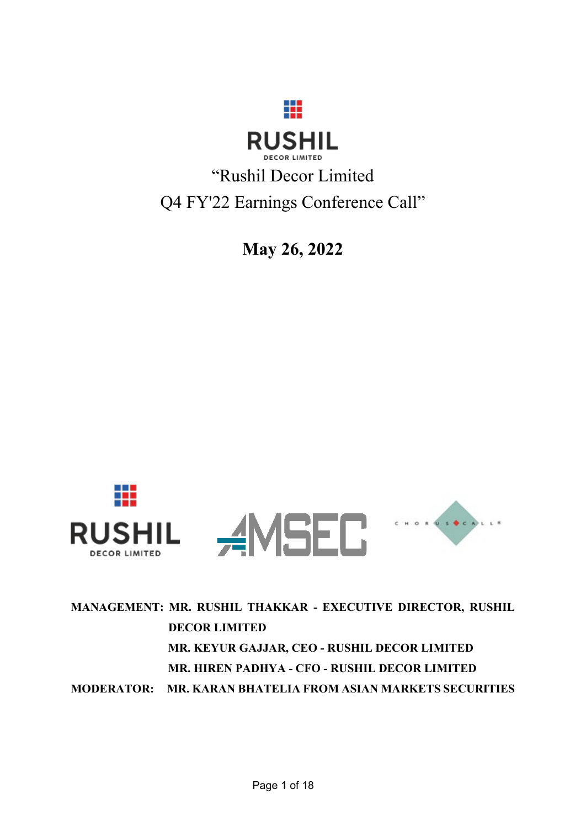

"Rushil Decor Limited Q4 FY'22 Earnings Conference Call"

**May 26, 2022**



**MANAGEMENT: MR. RUSHIL THAKKAR - EXECUTIVE DIRECTOR, RUSHIL DECOR LIMITED MR. KEYUR GAJJAR, CEO - RUSHIL DECOR LIMITED MR. HIREN PADHYA - CFO - RUSHIL DECOR LIMITED MODERATOR: MR. KARAN BHATELIA FROM ASIAN MARKETS SECURITIES**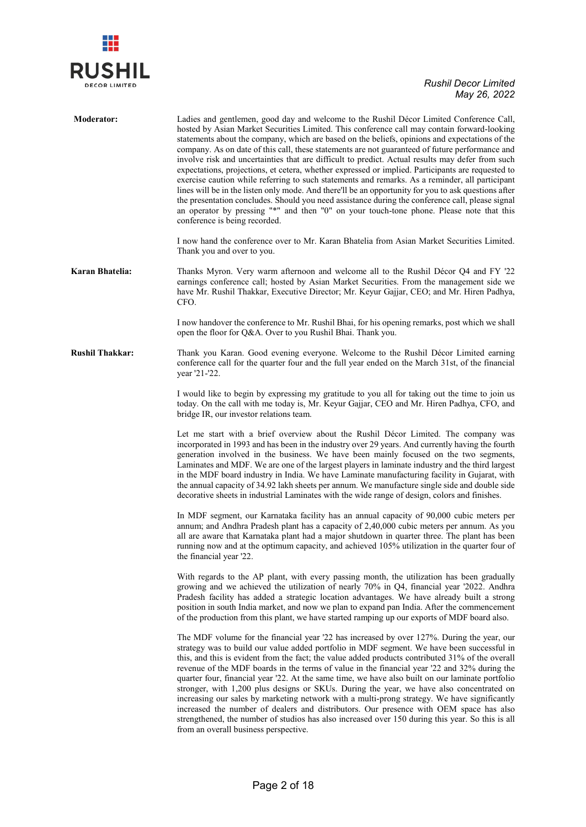

| <b>Moderator:</b>      | Ladies and gentlemen, good day and welcome to the Rushil Décor Limited Conference Call,<br>hosted by Asian Market Securities Limited. This conference call may contain forward-looking<br>statements about the company, which are based on the beliefs, opinions and expectations of the<br>company. As on date of this call, these statements are not guaranteed of future performance and<br>involve risk and uncertainties that are difficult to predict. Actual results may defer from such<br>expectations, projections, et cetera, whether expressed or implied. Participants are requested to<br>exercise caution while referring to such statements and remarks. As a reminder, all participant<br>lines will be in the listen only mode. And there'll be an opportunity for you to ask questions after<br>the presentation concludes. Should you need assistance during the conference call, please signal<br>an operator by pressing "*" and then "0" on your touch-tone phone. Please note that this<br>conference is being recorded.<br>I now hand the conference over to Mr. Karan Bhatelia from Asian Market Securities Limited.<br>Thank you and over to you. |
|------------------------|------------------------------------------------------------------------------------------------------------------------------------------------------------------------------------------------------------------------------------------------------------------------------------------------------------------------------------------------------------------------------------------------------------------------------------------------------------------------------------------------------------------------------------------------------------------------------------------------------------------------------------------------------------------------------------------------------------------------------------------------------------------------------------------------------------------------------------------------------------------------------------------------------------------------------------------------------------------------------------------------------------------------------------------------------------------------------------------------------------------------------------------------------------------------------|
| Karan Bhatelia:        | Thanks Myron. Very warm afternoon and welcome all to the Rushil Décor Q4 and FY '22<br>earnings conference call; hosted by Asian Market Securities. From the management side we<br>have Mr. Rushil Thakkar, Executive Director; Mr. Keyur Gajjar, CEO; and Mr. Hiren Padhya,<br>CFO.                                                                                                                                                                                                                                                                                                                                                                                                                                                                                                                                                                                                                                                                                                                                                                                                                                                                                         |
|                        | I now handover the conference to Mr. Rushil Bhai, for his opening remarks, post which we shall<br>open the floor for Q&A. Over to you Rushil Bhai. Thank you.                                                                                                                                                                                                                                                                                                                                                                                                                                                                                                                                                                                                                                                                                                                                                                                                                                                                                                                                                                                                                |
| <b>Rushil Thakkar:</b> | Thank you Karan. Good evening everyone. Welcome to the Rushil Décor Limited earning<br>conference call for the quarter four and the full year ended on the March 31st, of the financial<br>year '21-'22.                                                                                                                                                                                                                                                                                                                                                                                                                                                                                                                                                                                                                                                                                                                                                                                                                                                                                                                                                                     |
|                        | I would like to begin by expressing my gratitude to you all for taking out the time to join us<br>today. On the call with me today is, Mr. Keyur Gajjar, CEO and Mr. Hiren Padhya, CFO, and<br>bridge IR, our investor relations team.                                                                                                                                                                                                                                                                                                                                                                                                                                                                                                                                                                                                                                                                                                                                                                                                                                                                                                                                       |
|                        | Let me start with a brief overview about the Rushil Décor Limited. The company was<br>incorporated in 1993 and has been in the industry over 29 years. And currently having the fourth<br>generation involved in the business. We have been mainly focused on the two segments,<br>Laminates and MDF. We are one of the largest players in laminate industry and the third largest<br>in the MDF board industry in India. We have Laminate manufacturing facility in Gujarat, with<br>the annual capacity of 34.92 lakh sheets per annum. We manufacture single side and double side<br>decorative sheets in industrial Laminates with the wide range of design, colors and finishes.                                                                                                                                                                                                                                                                                                                                                                                                                                                                                        |
|                        | In MDF segment, our Karnataka facility has an annual capacity of 90,000 cubic meters per<br>annum; and Andhra Pradesh plant has a capacity of 2,40,000 cubic meters per annum. As you<br>all are aware that Karnataka plant had a major shutdown in quarter three. The plant has been<br>running now and at the optimum capacity, and achieved 105% utilization in the quarter four of<br>the financial year '22.                                                                                                                                                                                                                                                                                                                                                                                                                                                                                                                                                                                                                                                                                                                                                            |
|                        | With regards to the AP plant, with every passing month, the utilization has been gradually<br>growing and we achieved the utilization of nearly 70% in Q4, financial year '2022. Andhra<br>Pradesh facility has added a strategic location advantages. We have already built a strong<br>position in south India market, and now we plan to expand pan India. After the commencement<br>of the production from this plant, we have started ramping up our exports of MDF board also.                                                                                                                                                                                                                                                                                                                                                                                                                                                                                                                                                                                                                                                                                         |
|                        | The MDF volume for the financial year '22 has increased by over 127%. During the year, our<br>strategy was to build our value added portfolio in MDF segment. We have been successful in<br>this, and this is evident from the fact; the value added products contributed 31% of the overall<br>revenue of the MDF boards in the terms of value in the financial year '22 and 32% during the<br>quarter four, financial year '22. At the same time, we have also built on our laminate portfolio<br>stronger, with 1,200 plus designs or SKUs. During the year, we have also concentrated on<br>increasing our sales by marketing network with a multi-prong strategy. We have significantly<br>increased the number of dealers and distributors. Our presence with OEM space has also<br>strengthened, the number of studios has also increased over 150 during this year. So this is all<br>from an overall business perspective.                                                                                                                                                                                                                                          |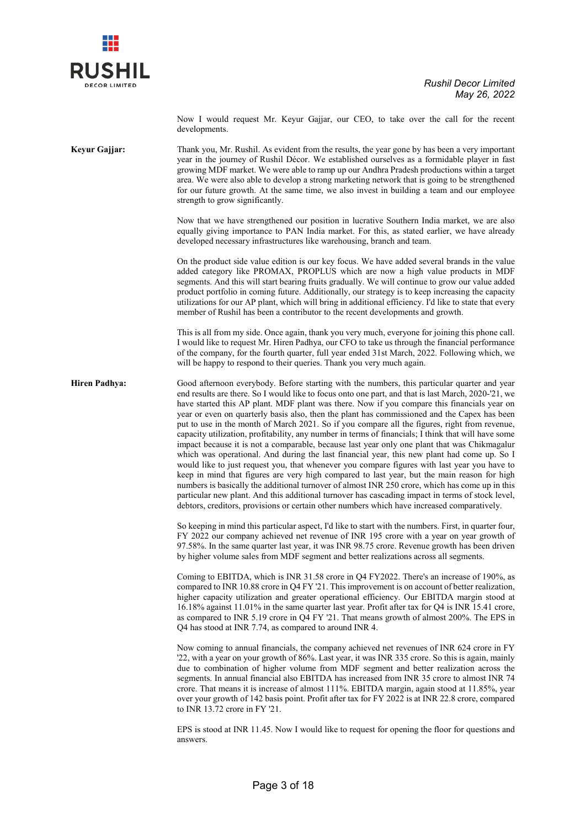

Now I would request Mr. Keyur Gajjar, our CEO, to take over the call for the recent developments.

**Keyur Gajjar:** Thank you, Mr. Rushil. As evident from the results, the year gone by has been a very important year in the journey of Rushil Décor. We established ourselves as a formidable player in fast growing MDF market. We were able to ramp up our Andhra Pradesh productions within a target area. We were also able to develop a strong marketing network that is going to be strengthened for our future growth. At the same time, we also invest in building a team and our employee strength to grow significantly.

> Now that we have strengthened our position in lucrative Southern India market, we are also equally giving importance to PAN India market. For this, as stated earlier, we have already developed necessary infrastructures like warehousing, branch and team.

> On the product side value edition is our key focus. We have added several brands in the value added category like PROMAX, PROPLUS which are now a high value products in MDF segments. And this will start bearing fruits gradually. We will continue to grow our value added product portfolio in coming future. Additionally, our strategy is to keep increasing the capacity utilizations for our AP plant, which will bring in additional efficiency. I'd like to state that every member of Rushil has been a contributor to the recent developments and growth.

> This is all from my side. Once again, thank you very much, everyone for joining this phone call. I would like to request Mr. Hiren Padhya, our CFO to take us through the financial performance of the company, for the fourth quarter, full year ended 31st March, 2022. Following which, we will be happy to respond to their queries. Thank you very much again.

**Hiren Padhya:** Good afternoon everybody. Before starting with the numbers, this particular quarter and year end results are there. So I would like to focus onto one part, and that is last March, 2020-'21, we have started this AP plant. MDF plant was there. Now if you compare this financials year on year or even on quarterly basis also, then the plant has commissioned and the Capex has been put to use in the month of March 2021. So if you compare all the figures, right from revenue, capacity utilization, profitability, any number in terms of financials; I think that will have some impact because it is not a comparable, because last year only one plant that was Chikmagalur which was operational. And during the last financial year, this new plant had come up. So I would like to just request you, that whenever you compare figures with last year you have to keep in mind that figures are very high compared to last year, but the main reason for high numbers is basically the additional turnover of almost INR 250 crore, which has come up in this particular new plant. And this additional turnover has cascading impact in terms of stock level, debtors, creditors, provisions or certain other numbers which have increased comparatively.

> So keeping in mind this particular aspect, I'd like to start with the numbers. First, in quarter four, FY 2022 our company achieved net revenue of INR 195 crore with a year on year growth of 97.58%. In the same quarter last year, it was INR 98.75 crore. Revenue growth has been driven by higher volume sales from MDF segment and better realizations across all segments.

> Coming to EBITDA, which is INR 31.58 crore in Q4 FY2022. There's an increase of 190%, as compared to INR 10.88 crore in Q4 FY '21. This improvement is on account of better realization, higher capacity utilization and greater operational efficiency. Our EBITDA margin stood at 16.18% against 11.01% in the same quarter last year. Profit after tax for Q4 is INR 15.41 crore, as compared to INR 5.19 crore in Q4 FY '21. That means growth of almost 200%. The EPS in Q4 has stood at INR 7.74, as compared to around INR 4.

> Now coming to annual financials, the company achieved net revenues of INR 624 crore in FY '22, with a year on your growth of 86%. Last year, it was INR 335 crore. So this is again, mainly due to combination of higher volume from MDF segment and better realization across the segments. In annual financial also EBITDA has increased from INR 35 crore to almost INR 74 crore. That means it is increase of almost 111%. EBITDA margin, again stood at 11.85%, year over your growth of 142 basis point. Profit after tax for FY 2022 is at INR 22.8 crore, compared to INR 13.72 crore in FY '21.

> EPS is stood at INR 11.45. Now I would like to request for opening the floor for questions and answers.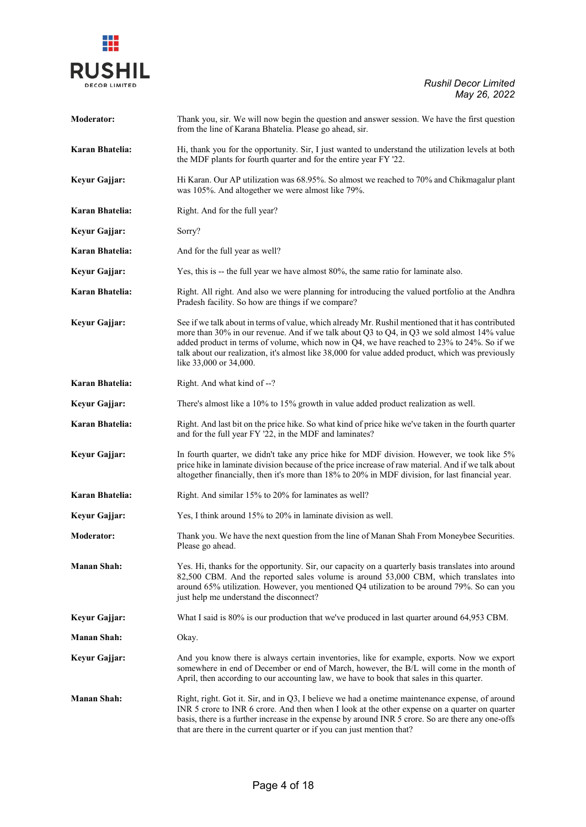

| <b>Moderator:</b>  | Thank you, sir. We will now begin the question and answer session. We have the first question<br>from the line of Karana Bhatelia. Please go ahead, sir.                                                                                                                                                                                                                                                                       |
|--------------------|--------------------------------------------------------------------------------------------------------------------------------------------------------------------------------------------------------------------------------------------------------------------------------------------------------------------------------------------------------------------------------------------------------------------------------|
| Karan Bhatelia:    | Hi, thank you for the opportunity. Sir, I just wanted to understand the utilization levels at both<br>the MDF plants for fourth quarter and for the entire year FY '22.                                                                                                                                                                                                                                                        |
| Keyur Gajjar:      | Hi Karan. Our AP utilization was 68.95%. So almost we reached to 70% and Chikmagalur plant<br>was 105%. And altogether we were almost like 79%.                                                                                                                                                                                                                                                                                |
| Karan Bhatelia:    | Right. And for the full year?                                                                                                                                                                                                                                                                                                                                                                                                  |
| Keyur Gajjar:      | Sorry?                                                                                                                                                                                                                                                                                                                                                                                                                         |
| Karan Bhatelia:    | And for the full year as well?                                                                                                                                                                                                                                                                                                                                                                                                 |
| Keyur Gajjar:      | Yes, this is -- the full year we have almost 80%, the same ratio for laminate also.                                                                                                                                                                                                                                                                                                                                            |
| Karan Bhatelia:    | Right. All right. And also we were planning for introducing the valued portfolio at the Andhra<br>Pradesh facility. So how are things if we compare?                                                                                                                                                                                                                                                                           |
| Keyur Gajjar:      | See if we talk about in terms of value, which already Mr. Rushil mentioned that it has contributed<br>more than 30% in our revenue. And if we talk about Q3 to Q4, in Q3 we sold almost 14% value<br>added product in terms of volume, which now in Q4, we have reached to 23% to 24%. So if we<br>talk about our realization, it's almost like 38,000 for value added product, which was previously<br>like 33,000 or 34,000. |
| Karan Bhatelia:    | Right. And what kind of --?                                                                                                                                                                                                                                                                                                                                                                                                    |
| Keyur Gajjar:      | There's almost like a 10% to 15% growth in value added product realization as well.                                                                                                                                                                                                                                                                                                                                            |
| Karan Bhatelia:    | Right. And last bit on the price hike. So what kind of price hike we've taken in the fourth quarter<br>and for the full year FY '22, in the MDF and laminates?                                                                                                                                                                                                                                                                 |
| Keyur Gajjar:      | In fourth quarter, we didn't take any price hike for MDF division. However, we took like 5%<br>price hike in laminate division because of the price increase of raw material. And if we talk about<br>altogether financially, then it's more than 18% to 20% in MDF division, for last financial year.                                                                                                                         |
| Karan Bhatelia:    | Right. And similar 15% to 20% for laminates as well?                                                                                                                                                                                                                                                                                                                                                                           |
| Keyur Gajjar:      | Yes, I think around 15% to 20% in laminate division as well.                                                                                                                                                                                                                                                                                                                                                                   |
| <b>Moderator:</b>  | Thank you. We have the next question from the line of Manan Shah From Moneybee Securities.<br>Please go ahead.                                                                                                                                                                                                                                                                                                                 |
| <b>Manan Shah:</b> | Yes. Hi, thanks for the opportunity. Sir, our capacity on a quarterly basis translates into around<br>82,500 CBM. And the reported sales volume is around 53,000 CBM, which translates into<br>around 65% utilization. However, you mentioned Q4 utilization to be around 79%. So can you<br>just help me understand the disconnect?                                                                                           |
| Keyur Gajjar:      | What I said is 80% is our production that we've produced in last quarter around 64,953 CBM.                                                                                                                                                                                                                                                                                                                                    |
| Manan Shah:        | Okay.                                                                                                                                                                                                                                                                                                                                                                                                                          |
| Keyur Gajjar:      | And you know there is always certain inventories, like for example, exports. Now we export<br>somewhere in end of December or end of March, however, the B/L will come in the month of<br>April, then according to our accounting law, we have to book that sales in this quarter.                                                                                                                                             |
| <b>Manan Shah:</b> | Right, right. Got it. Sir, and in Q3, I believe we had a onetime maintenance expense, of around<br>INR 5 crore to INR 6 crore. And then when I look at the other expense on a quarter on quarter<br>basis, there is a further increase in the expense by around INR 5 crore. So are there any one-offs<br>that are there in the current quarter or if you can just mention that?                                               |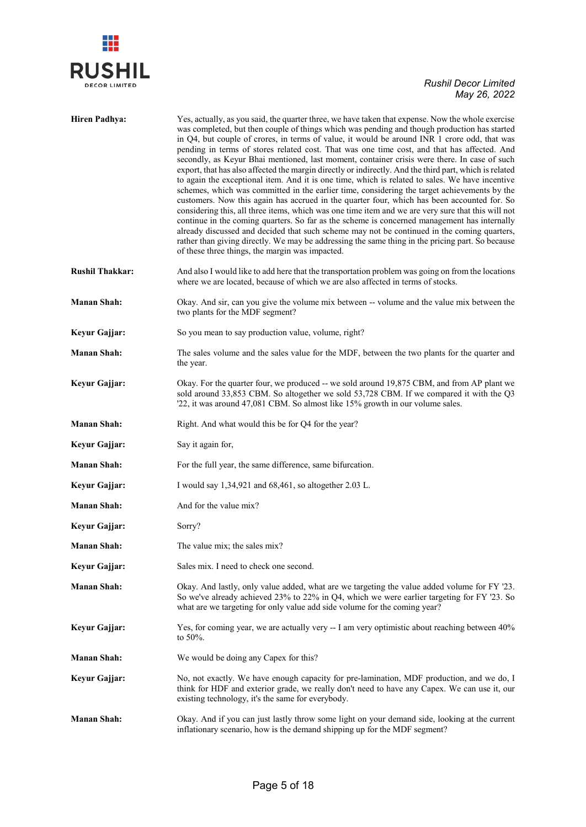

| <b>Hiren Padhya:</b>   | Yes, actually, as you said, the quarter three, we have taken that expense. Now the whole exercise<br>was completed, but then couple of things which was pending and though production has started<br>in Q4, but couple of crores, in terms of value, it would be around INR 1 crore odd, that was<br>pending in terms of stores related cost. That was one time cost, and that has affected. And<br>secondly, as Keyur Bhai mentioned, last moment, container crisis were there. In case of such<br>export, that has also affected the margin directly or indirectly. And the third part, which is related<br>to again the exceptional item. And it is one time, which is related to sales. We have incentive<br>schemes, which was committed in the earlier time, considering the target achievements by the<br>customers. Now this again has accrued in the quarter four, which has been accounted for. So<br>considering this, all three items, which was one time item and we are very sure that this will not<br>continue in the coming quarters. So far as the scheme is concerned management has internally<br>already discussed and decided that such scheme may not be continued in the coming quarters,<br>rather than giving directly. We may be addressing the same thing in the pricing part. So because<br>of these three things, the margin was impacted. |
|------------------------|--------------------------------------------------------------------------------------------------------------------------------------------------------------------------------------------------------------------------------------------------------------------------------------------------------------------------------------------------------------------------------------------------------------------------------------------------------------------------------------------------------------------------------------------------------------------------------------------------------------------------------------------------------------------------------------------------------------------------------------------------------------------------------------------------------------------------------------------------------------------------------------------------------------------------------------------------------------------------------------------------------------------------------------------------------------------------------------------------------------------------------------------------------------------------------------------------------------------------------------------------------------------------------------------------------------------------------------------------------------------------|
| <b>Rushil Thakkar:</b> | And also I would like to add here that the transportation problem was going on from the locations<br>where we are located, because of which we are also affected in terms of stocks.                                                                                                                                                                                                                                                                                                                                                                                                                                                                                                                                                                                                                                                                                                                                                                                                                                                                                                                                                                                                                                                                                                                                                                                     |
| <b>Manan Shah:</b>     | Okay. And sir, can you give the volume mix between -- volume and the value mix between the<br>two plants for the MDF segment?                                                                                                                                                                                                                                                                                                                                                                                                                                                                                                                                                                                                                                                                                                                                                                                                                                                                                                                                                                                                                                                                                                                                                                                                                                            |
| Keyur Gajjar:          | So you mean to say production value, volume, right?                                                                                                                                                                                                                                                                                                                                                                                                                                                                                                                                                                                                                                                                                                                                                                                                                                                                                                                                                                                                                                                                                                                                                                                                                                                                                                                      |
| <b>Manan Shah:</b>     | The sales volume and the sales value for the MDF, between the two plants for the quarter and<br>the year.                                                                                                                                                                                                                                                                                                                                                                                                                                                                                                                                                                                                                                                                                                                                                                                                                                                                                                                                                                                                                                                                                                                                                                                                                                                                |
| Keyur Gajjar:          | Okay. For the quarter four, we produced -- we sold around 19,875 CBM, and from AP plant we<br>sold around 33,853 CBM. So altogether we sold 53,728 CBM. If we compared it with the Q3<br>'22, it was around 47,081 CBM. So almost like 15% growth in our volume sales.                                                                                                                                                                                                                                                                                                                                                                                                                                                                                                                                                                                                                                                                                                                                                                                                                                                                                                                                                                                                                                                                                                   |
| <b>Manan Shah:</b>     | Right. And what would this be for Q4 for the year?                                                                                                                                                                                                                                                                                                                                                                                                                                                                                                                                                                                                                                                                                                                                                                                                                                                                                                                                                                                                                                                                                                                                                                                                                                                                                                                       |
| Keyur Gajjar:          | Say it again for,                                                                                                                                                                                                                                                                                                                                                                                                                                                                                                                                                                                                                                                                                                                                                                                                                                                                                                                                                                                                                                                                                                                                                                                                                                                                                                                                                        |
| <b>Manan Shah:</b>     | For the full year, the same difference, same bifurcation.                                                                                                                                                                                                                                                                                                                                                                                                                                                                                                                                                                                                                                                                                                                                                                                                                                                                                                                                                                                                                                                                                                                                                                                                                                                                                                                |
| Keyur Gajjar:          | I would say 1,34,921 and 68,461, so altogether 2.03 L.                                                                                                                                                                                                                                                                                                                                                                                                                                                                                                                                                                                                                                                                                                                                                                                                                                                                                                                                                                                                                                                                                                                                                                                                                                                                                                                   |
| <b>Manan Shah:</b>     | And for the value mix?                                                                                                                                                                                                                                                                                                                                                                                                                                                                                                                                                                                                                                                                                                                                                                                                                                                                                                                                                                                                                                                                                                                                                                                                                                                                                                                                                   |
| Keyur Gajjar:          | Sorry?                                                                                                                                                                                                                                                                                                                                                                                                                                                                                                                                                                                                                                                                                                                                                                                                                                                                                                                                                                                                                                                                                                                                                                                                                                                                                                                                                                   |
| Manan Shah:            | The value mix; the sales mix?                                                                                                                                                                                                                                                                                                                                                                                                                                                                                                                                                                                                                                                                                                                                                                                                                                                                                                                                                                                                                                                                                                                                                                                                                                                                                                                                            |
| Keyur Gajjar:          | Sales mix. I need to check one second.                                                                                                                                                                                                                                                                                                                                                                                                                                                                                                                                                                                                                                                                                                                                                                                                                                                                                                                                                                                                                                                                                                                                                                                                                                                                                                                                   |
| <b>Manan Shah:</b>     | Okay. And lastly, only value added, what are we targeting the value added volume for FY '23.<br>So we've already achieved 23% to 22% in Q4, which we were earlier targeting for FY '23. So<br>what are we targeting for only value add side volume for the coming year?                                                                                                                                                                                                                                                                                                                                                                                                                                                                                                                                                                                                                                                                                                                                                                                                                                                                                                                                                                                                                                                                                                  |
| Keyur Gajjar:          | Yes, for coming year, we are actually very -- I am very optimistic about reaching between 40%<br>to $50\%$ .                                                                                                                                                                                                                                                                                                                                                                                                                                                                                                                                                                                                                                                                                                                                                                                                                                                                                                                                                                                                                                                                                                                                                                                                                                                             |
| <b>Manan Shah:</b>     | We would be doing any Capex for this?                                                                                                                                                                                                                                                                                                                                                                                                                                                                                                                                                                                                                                                                                                                                                                                                                                                                                                                                                                                                                                                                                                                                                                                                                                                                                                                                    |
| Keyur Gajjar:          | No, not exactly. We have enough capacity for pre-lamination, MDF production, and we do, I<br>think for HDF and exterior grade, we really don't need to have any Capex. We can use it, our<br>existing technology, it's the same for everybody.                                                                                                                                                                                                                                                                                                                                                                                                                                                                                                                                                                                                                                                                                                                                                                                                                                                                                                                                                                                                                                                                                                                           |
| <b>Manan Shah:</b>     | Okay. And if you can just lastly throw some light on your demand side, looking at the current<br>inflationary scenario, how is the demand shipping up for the MDF segment?                                                                                                                                                                                                                                                                                                                                                                                                                                                                                                                                                                                                                                                                                                                                                                                                                                                                                                                                                                                                                                                                                                                                                                                               |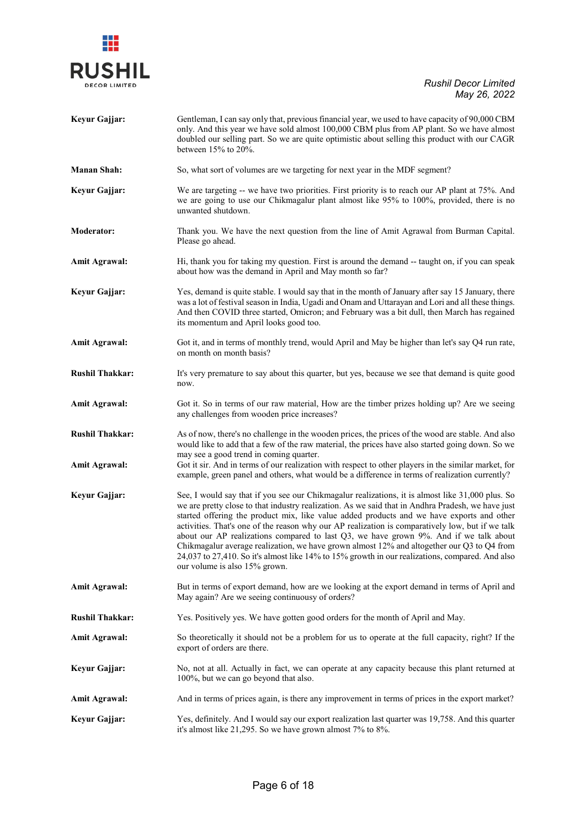

| Keyur Gajjar:                                  | Gentleman, I can say only that, previous financial year, we used to have capacity of 90,000 CBM<br>only. And this year we have sold almost 100,000 CBM plus from AP plant. So we have almost<br>doubled our selling part. So we are quite optimistic about selling this product with our CAGR<br>between $15%$ to $20%$ .                                                                                                                                                                                                                                                                                                                                                                                                         |
|------------------------------------------------|-----------------------------------------------------------------------------------------------------------------------------------------------------------------------------------------------------------------------------------------------------------------------------------------------------------------------------------------------------------------------------------------------------------------------------------------------------------------------------------------------------------------------------------------------------------------------------------------------------------------------------------------------------------------------------------------------------------------------------------|
| <b>Manan Shah:</b>                             | So, what sort of volumes are we targeting for next year in the MDF segment?                                                                                                                                                                                                                                                                                                                                                                                                                                                                                                                                                                                                                                                       |
| Keyur Gajjar:                                  | We are targeting -- we have two priorities. First priority is to reach our AP plant at 75%. And<br>we are going to use our Chikmagalur plant almost like 95% to 100%, provided, there is no<br>unwanted shutdown.                                                                                                                                                                                                                                                                                                                                                                                                                                                                                                                 |
| <b>Moderator:</b>                              | Thank you. We have the next question from the line of Amit Agrawal from Burman Capital.<br>Please go ahead.                                                                                                                                                                                                                                                                                                                                                                                                                                                                                                                                                                                                                       |
| <b>Amit Agrawal:</b>                           | Hi, thank you for taking my question. First is around the demand -- taught on, if you can speak<br>about how was the demand in April and May month so far?                                                                                                                                                                                                                                                                                                                                                                                                                                                                                                                                                                        |
| Keyur Gajjar:                                  | Yes, demand is quite stable. I would say that in the month of January after say 15 January, there<br>was a lot of festival season in India, Ugadi and Onam and Uttarayan and Lori and all these things.<br>And then COVID three started, Omicron; and February was a bit dull, then March has regained<br>its momentum and April looks good too.                                                                                                                                                                                                                                                                                                                                                                                  |
| <b>Amit Agrawal:</b>                           | Got it, and in terms of monthly trend, would April and May be higher than let's say Q4 run rate,<br>on month on month basis?                                                                                                                                                                                                                                                                                                                                                                                                                                                                                                                                                                                                      |
| <b>Rushil Thakkar:</b>                         | It's very premature to say about this quarter, but yes, because we see that demand is quite good<br>now.                                                                                                                                                                                                                                                                                                                                                                                                                                                                                                                                                                                                                          |
| <b>Amit Agrawal:</b>                           | Got it. So in terms of our raw material, How are the timber prizes holding up? Are we seeing<br>any challenges from wooden price increases?                                                                                                                                                                                                                                                                                                                                                                                                                                                                                                                                                                                       |
| <b>Rushil Thakkar:</b><br><b>Amit Agrawal:</b> | As of now, there's no challenge in the wooden prices, the prices of the wood are stable. And also<br>would like to add that a few of the raw material, the prices have also started going down. So we<br>may see a good trend in coming quarter.<br>Got it sir. And in terms of our realization with respect to other players in the similar market, for<br>example, green panel and others, what would be a difference in terms of realization currently?                                                                                                                                                                                                                                                                        |
| Keyur Gajjar:                                  | See, I would say that if you see our Chikmagalur realizations, it is almost like 31,000 plus. So<br>we are pretty close to that industry realization. As we said that in Andhra Pradesh, we have just<br>started offering the product mix, like value added products and we have exports and other<br>activities. That's one of the reason why our AP realization is comparatively low, but if we talk<br>about our AP realizations compared to last Q3, we have grown 9%. And if we talk about<br>Chikmagalur average realization, we have grown almost 12% and altogether our Q3 to Q4 from<br>24,037 to 27,410. So it's almost like 14% to 15% growth in our realizations, compared. And also<br>our volume is also 15% grown. |
| <b>Amit Agrawal:</b>                           | But in terms of export demand, how are we looking at the export demand in terms of April and<br>May again? Are we seeing continuousy of orders?                                                                                                                                                                                                                                                                                                                                                                                                                                                                                                                                                                                   |
| <b>Rushil Thakkar:</b>                         | Yes. Positively yes. We have gotten good orders for the month of April and May.                                                                                                                                                                                                                                                                                                                                                                                                                                                                                                                                                                                                                                                   |
| <b>Amit Agrawal:</b>                           | So theoretically it should not be a problem for us to operate at the full capacity, right? If the<br>export of orders are there.                                                                                                                                                                                                                                                                                                                                                                                                                                                                                                                                                                                                  |
| Keyur Gajjar:                                  | No, not at all. Actually in fact, we can operate at any capacity because this plant returned at<br>100%, but we can go beyond that also.                                                                                                                                                                                                                                                                                                                                                                                                                                                                                                                                                                                          |
| <b>Amit Agrawal:</b>                           | And in terms of prices again, is there any improvement in terms of prices in the export market?                                                                                                                                                                                                                                                                                                                                                                                                                                                                                                                                                                                                                                   |
| Keyur Gajjar:                                  | Yes, definitely. And I would say our export realization last quarter was 19,758. And this quarter<br>it's almost like 21,295. So we have grown almost 7% to 8%.                                                                                                                                                                                                                                                                                                                                                                                                                                                                                                                                                                   |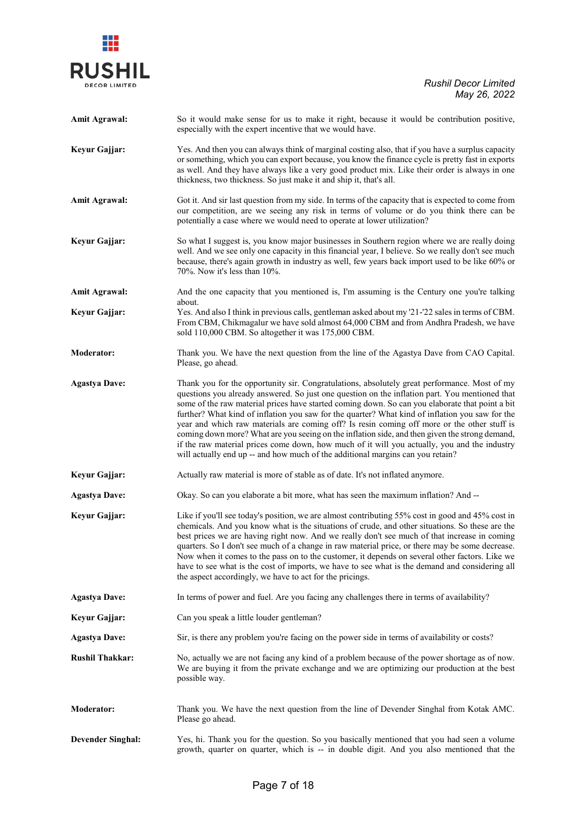

| <b>Amit Agrawal:</b>     | So it would make sense for us to make it right, because it would be contribution positive,<br>especially with the expert incentive that we would have.                                                                                                                                                                                                                                                                                                                                                                                                                                                                                                                                                                                                                                  |
|--------------------------|-----------------------------------------------------------------------------------------------------------------------------------------------------------------------------------------------------------------------------------------------------------------------------------------------------------------------------------------------------------------------------------------------------------------------------------------------------------------------------------------------------------------------------------------------------------------------------------------------------------------------------------------------------------------------------------------------------------------------------------------------------------------------------------------|
| Keyur Gajjar:            | Yes. And then you can always think of marginal costing also, that if you have a surplus capacity<br>or something, which you can export because, you know the finance cycle is pretty fast in exports<br>as well. And they have always like a very good product mix. Like their order is always in one<br>thickness, two thickness. So just make it and ship it, that's all.                                                                                                                                                                                                                                                                                                                                                                                                             |
| <b>Amit Agrawal:</b>     | Got it. And sir last question from my side. In terms of the capacity that is expected to come from<br>our competition, are we seeing any risk in terms of volume or do you think there can be<br>potentially a case where we would need to operate at lower utilization?                                                                                                                                                                                                                                                                                                                                                                                                                                                                                                                |
| Keyur Gajjar:            | So what I suggest is, you know major businesses in Southern region where we are really doing<br>well. And we see only one capacity in this financial year, I believe. So we really don't see much<br>because, there's again growth in industry as well, few years back import used to be like 60% or<br>70%. Now it's less than 10%.                                                                                                                                                                                                                                                                                                                                                                                                                                                    |
| <b>Amit Agrawal:</b>     | And the one capacity that you mentioned is, I'm assuming is the Century one you're talking<br>about.                                                                                                                                                                                                                                                                                                                                                                                                                                                                                                                                                                                                                                                                                    |
| Keyur Gajjar:            | Yes. And also I think in previous calls, gentleman asked about my '21-'22 sales in terms of CBM.<br>From CBM, Chikmagalur we have sold almost 64,000 CBM and from Andhra Pradesh, we have<br>sold 110,000 CBM. So altogether it was 175,000 CBM.                                                                                                                                                                                                                                                                                                                                                                                                                                                                                                                                        |
| <b>Moderator:</b>        | Thank you. We have the next question from the line of the Agastya Dave from CAO Capital.<br>Please, go ahead.                                                                                                                                                                                                                                                                                                                                                                                                                                                                                                                                                                                                                                                                           |
| <b>Agastya Dave:</b>     | Thank you for the opportunity sir. Congratulations, absolutely great performance. Most of my<br>questions you already answered. So just one question on the inflation part. You mentioned that<br>some of the raw material prices have started coming down. So can you elaborate that point a bit<br>further? What kind of inflation you saw for the quarter? What kind of inflation you saw for the<br>year and which raw materials are coming off? Is resin coming off more or the other stuff is<br>coming down more? What are you seeing on the inflation side, and then given the strong demand,<br>if the raw material prices come down, how much of it will you actually, you and the industry<br>will actually end up -- and how much of the additional margins can you retain? |
| Keyur Gajjar:            | Actually raw material is more of stable as of date. It's not inflated anymore.                                                                                                                                                                                                                                                                                                                                                                                                                                                                                                                                                                                                                                                                                                          |
| <b>Agastya Dave:</b>     | Okay. So can you elaborate a bit more, what has seen the maximum inflation? And --                                                                                                                                                                                                                                                                                                                                                                                                                                                                                                                                                                                                                                                                                                      |
| Keyur Gajjar:            | Like if you'll see today's position, we are almost contributing 55% cost in good and 45% cost in<br>chemicals. And you know what is the situations of crude, and other situations. So these are the<br>best prices we are having right now. And we really don't see much of that increase in coming<br>quarters. So I don't see much of a change in raw material price, or there may be some decrease.<br>Now when it comes to the pass on to the customer, it depends on several other factors. Like we<br>have to see what is the cost of imports, we have to see what is the demand and considering all<br>the aspect accordingly, we have to act for the pricings.                                                                                                                  |
| <b>Agastya Dave:</b>     | In terms of power and fuel. Are you facing any challenges there in terms of availability?                                                                                                                                                                                                                                                                                                                                                                                                                                                                                                                                                                                                                                                                                               |
| Keyur Gajjar:            | Can you speak a little louder gentleman?                                                                                                                                                                                                                                                                                                                                                                                                                                                                                                                                                                                                                                                                                                                                                |
| <b>Agastya Dave:</b>     | Sir, is there any problem you're facing on the power side in terms of availability or costs?                                                                                                                                                                                                                                                                                                                                                                                                                                                                                                                                                                                                                                                                                            |
| <b>Rushil Thakkar:</b>   | No, actually we are not facing any kind of a problem because of the power shortage as of now.<br>We are buying it from the private exchange and we are optimizing our production at the best<br>possible way.                                                                                                                                                                                                                                                                                                                                                                                                                                                                                                                                                                           |
| <b>Moderator:</b>        | Thank you. We have the next question from the line of Devender Singhal from Kotak AMC.<br>Please go ahead.                                                                                                                                                                                                                                                                                                                                                                                                                                                                                                                                                                                                                                                                              |
| <b>Devender Singhal:</b> | Yes, hi. Thank you for the question. So you basically mentioned that you had seen a volume<br>growth, quarter on quarter, which is -- in double digit. And you also mentioned that the                                                                                                                                                                                                                                                                                                                                                                                                                                                                                                                                                                                                  |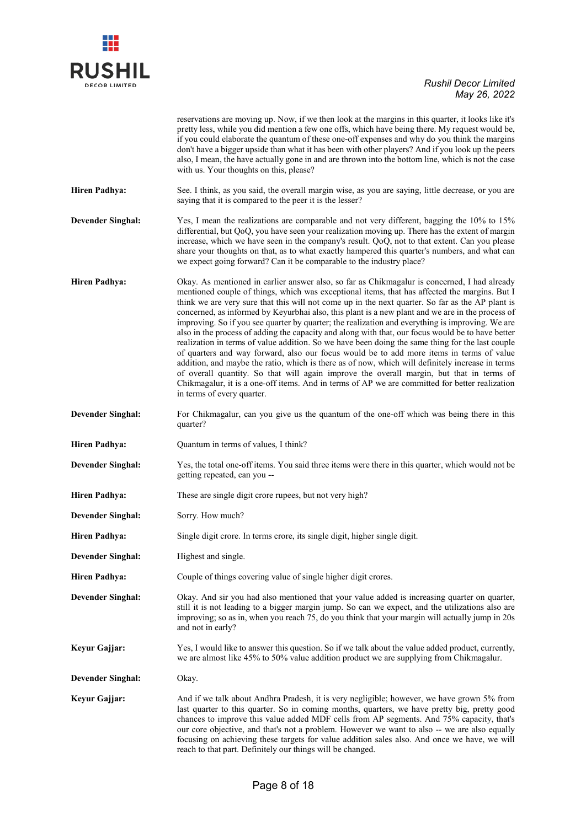| <b>RUSHII</b>        |  |
|----------------------|--|
| <b>DECOR LIMITED</b> |  |

|                          | reservations are moving up. Now, if we then look at the margins in this quarter, it looks like it's<br>pretty less, while you did mention a few one offs, which have being there. My request would be,<br>if you could elaborate the quantum of these one-off expenses and why do you think the margins<br>don't have a bigger upside than what it has been with other players? And if you look up the peers<br>also, I mean, the have actually gone in and are thrown into the bottom line, which is not the case<br>with us. Your thoughts on this, please?                                                                                                                                                                                                                                                                                                                                                                                                                                                                                                                                                                                  |
|--------------------------|------------------------------------------------------------------------------------------------------------------------------------------------------------------------------------------------------------------------------------------------------------------------------------------------------------------------------------------------------------------------------------------------------------------------------------------------------------------------------------------------------------------------------------------------------------------------------------------------------------------------------------------------------------------------------------------------------------------------------------------------------------------------------------------------------------------------------------------------------------------------------------------------------------------------------------------------------------------------------------------------------------------------------------------------------------------------------------------------------------------------------------------------|
| <b>Hiren Padhya:</b>     | See. I think, as you said, the overall margin wise, as you are saying, little decrease, or you are<br>saying that it is compared to the peer it is the lesser?                                                                                                                                                                                                                                                                                                                                                                                                                                                                                                                                                                                                                                                                                                                                                                                                                                                                                                                                                                                 |
| <b>Devender Singhal:</b> | Yes, I mean the realizations are comparable and not very different, bagging the 10% to 15%<br>differential, but QoQ, you have seen your realization moving up. There has the extent of margin<br>increase, which we have seen in the company's result. QoQ, not to that extent. Can you please<br>share your thoughts on that, as to what exactly hampered this quarter's numbers, and what can<br>we expect going forward? Can it be comparable to the industry place?                                                                                                                                                                                                                                                                                                                                                                                                                                                                                                                                                                                                                                                                        |
| <b>Hiren Padhya:</b>     | Okay. As mentioned in earlier answer also, so far as Chikmagalur is concerned, I had already<br>mentioned couple of things, which was exceptional items, that has affected the margins. But I<br>think we are very sure that this will not come up in the next quarter. So far as the AP plant is<br>concerned, as informed by Keyurbhai also, this plant is a new plant and we are in the process of<br>improving. So if you see quarter by quarter; the realization and everything is improving. We are<br>also in the process of adding the capacity and along with that, our focus would be to have better<br>realization in terms of value addition. So we have been doing the same thing for the last couple<br>of quarters and way forward, also our focus would be to add more items in terms of value<br>addition, and maybe the ratio, which is there as of now, which will definitely increase in terms<br>of overall quantity. So that will again improve the overall margin, but that in terms of<br>Chikmagalur, it is a one-off items. And in terms of AP we are committed for better realization<br>in terms of every quarter. |
| <b>Devender Singhal:</b> | For Chikmagalur, can you give us the quantum of the one-off which was being there in this<br>quarter?                                                                                                                                                                                                                                                                                                                                                                                                                                                                                                                                                                                                                                                                                                                                                                                                                                                                                                                                                                                                                                          |
| <b>Hiren Padhya:</b>     | Quantum in terms of values, I think?                                                                                                                                                                                                                                                                                                                                                                                                                                                                                                                                                                                                                                                                                                                                                                                                                                                                                                                                                                                                                                                                                                           |
| <b>Devender Singhal:</b> | Yes, the total one-off items. You said three items were there in this quarter, which would not be<br>getting repeated, can you --                                                                                                                                                                                                                                                                                                                                                                                                                                                                                                                                                                                                                                                                                                                                                                                                                                                                                                                                                                                                              |
| <b>Hiren Padhya:</b>     | These are single digit crore rupees, but not very high?                                                                                                                                                                                                                                                                                                                                                                                                                                                                                                                                                                                                                                                                                                                                                                                                                                                                                                                                                                                                                                                                                        |
| <b>Devender Singhal:</b> | Sorry. How much?                                                                                                                                                                                                                                                                                                                                                                                                                                                                                                                                                                                                                                                                                                                                                                                                                                                                                                                                                                                                                                                                                                                               |
| <b>Hiren Padhya:</b>     | Single digit crore. In terms crore, its single digit, higher single digit.                                                                                                                                                                                                                                                                                                                                                                                                                                                                                                                                                                                                                                                                                                                                                                                                                                                                                                                                                                                                                                                                     |
| <b>Devender Singhal:</b> | Highest and single.                                                                                                                                                                                                                                                                                                                                                                                                                                                                                                                                                                                                                                                                                                                                                                                                                                                                                                                                                                                                                                                                                                                            |
| <b>Hiren Padhya:</b>     | Couple of things covering value of single higher digit crores.                                                                                                                                                                                                                                                                                                                                                                                                                                                                                                                                                                                                                                                                                                                                                                                                                                                                                                                                                                                                                                                                                 |
| <b>Devender Singhal:</b> | Okay. And sir you had also mentioned that your value added is increasing quarter on quarter,<br>still it is not leading to a bigger margin jump. So can we expect, and the utilizations also are<br>improving; so as in, when you reach 75, do you think that your margin will actually jump in 20s<br>and not in early?                                                                                                                                                                                                                                                                                                                                                                                                                                                                                                                                                                                                                                                                                                                                                                                                                       |
| Keyur Gajjar:            | Yes, I would like to answer this question. So if we talk about the value added product, currently,<br>we are almost like 45% to 50% value addition product we are supplying from Chikmagalur.                                                                                                                                                                                                                                                                                                                                                                                                                                                                                                                                                                                                                                                                                                                                                                                                                                                                                                                                                  |
| <b>Devender Singhal:</b> | Okay.                                                                                                                                                                                                                                                                                                                                                                                                                                                                                                                                                                                                                                                                                                                                                                                                                                                                                                                                                                                                                                                                                                                                          |
| Keyur Gajjar:            | And if we talk about Andhra Pradesh, it is very negligible; however, we have grown 5% from<br>last quarter to this quarter. So in coming months, quarters, we have pretty big, pretty good<br>chances to improve this value added MDF cells from AP segments. And 75% capacity, that's<br>our core objective, and that's not a problem. However we want to also -- we are also equally<br>focusing on achieving these targets for value addition sales also. And once we have, we will<br>reach to that part. Definitely our things will be changed.                                                                                                                                                                                                                                                                                                                                                                                                                                                                                                                                                                                           |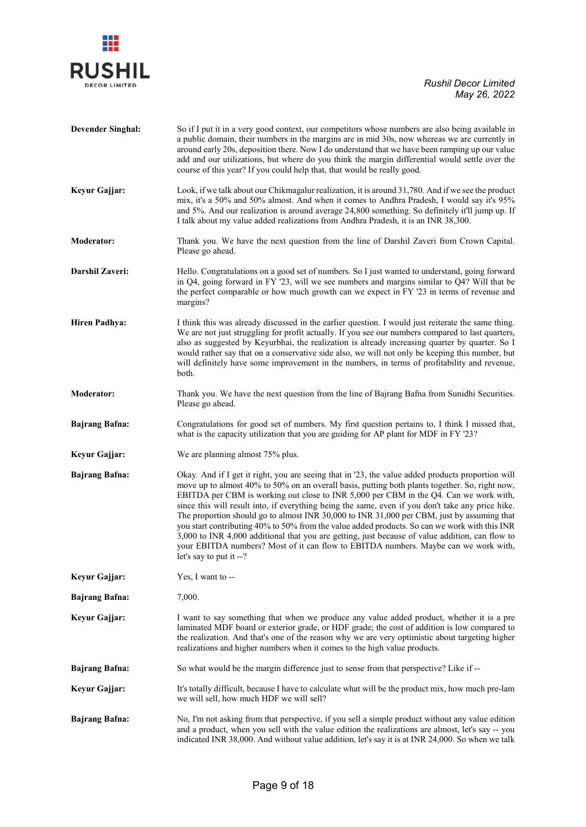

| <b>Devender Singhal:</b> | So if I put it in a very good context, our competitors whose numbers are also being available in<br>a public domain, their numbers in the margins are in mid 30s, now whereas we are currently in<br>around early 20s, deposition there. Now I do understand that we have been ramping up our value<br>add and our utilizations, but where do you think the margin differential would settle over the<br>course of this year? If you could help that, that would be really good.                                                                                                                                                                                                                                                                                                                                      |
|--------------------------|-----------------------------------------------------------------------------------------------------------------------------------------------------------------------------------------------------------------------------------------------------------------------------------------------------------------------------------------------------------------------------------------------------------------------------------------------------------------------------------------------------------------------------------------------------------------------------------------------------------------------------------------------------------------------------------------------------------------------------------------------------------------------------------------------------------------------|
| Keyur Gajjar:            | Look, if we talk about our Chikmagalur realization, it is around 31,780. And if we see the product<br>mix, it's a 50% and 50% almost. And when it comes to Andhra Pradesh, I would say it's 95%<br>and 5%. And our realization is around average 24,800 something. So definitely it'll jump up. If<br>I talk about my value added realizations from Andhra Pradesh, it is an INR 38,300.                                                                                                                                                                                                                                                                                                                                                                                                                              |
| <b>Moderator:</b>        | Thank you. We have the next question from the line of Darshil Zaveri from Crown Capital.<br>Please go ahead.                                                                                                                                                                                                                                                                                                                                                                                                                                                                                                                                                                                                                                                                                                          |
| Darshil Zaveri:          | Hello. Congratulations on a good set of numbers. So I just wanted to understand, going forward<br>in $Q4$ , going forward in FY '23, will we see numbers and margins similar to $Q4$ ? Will that be<br>the perfect comparable or how much growth can we expect in FY '23 in terms of revenue and<br>margins?                                                                                                                                                                                                                                                                                                                                                                                                                                                                                                          |
| <b>Hiren Padhya:</b>     | I think this was already discussed in the earlier question. I would just reiterate the same thing.<br>We are not just struggling for profit actually. If you see our numbers compared to last quarters,<br>also as suggested by Keyurbhai, the realization is already increasing quarter by quarter. So I<br>would rather say that on a conservative side also, we will not only be keeping this number, but<br>will definitely have some improvement in the numbers, in terms of profitability and revenue,<br>both.                                                                                                                                                                                                                                                                                                 |
| <b>Moderator:</b>        | Thank you. We have the next question from the line of Bajrang Bafna from Sunidhi Securities.<br>Please go ahead.                                                                                                                                                                                                                                                                                                                                                                                                                                                                                                                                                                                                                                                                                                      |
| <b>Bajrang Bafna:</b>    | Congratulations for good set of numbers. My first question pertains to, I think I missed that,<br>what is the capacity utilization that you are guiding for AP plant for MDF in FY '23?                                                                                                                                                                                                                                                                                                                                                                                                                                                                                                                                                                                                                               |
| Keyur Gajjar:            | We are planning almost 75% plus.                                                                                                                                                                                                                                                                                                                                                                                                                                                                                                                                                                                                                                                                                                                                                                                      |
| <b>Bajrang Bafna:</b>    | Okay. And if I get it right, you are seeing that in '23, the value added products proportion will<br>move up to almost 40% to 50% on an overall basis, putting both plants together. So, right now,<br>EBITDA per CBM is working out close to INR 5,000 per CBM in the Q4. Can we work with,<br>since this will result into, if everything being the same, even if you don't take any price hike.<br>The proportion should go to almost INR 30,000 to INR 31,000 per CBM, just by assuming that<br>you start contributing 40% to 50% from the value added products. So can we work with this INR<br>3,000 to INR 4,000 additional that you are getting, just because of value addition, can flow to<br>your EBITDA numbers? Most of it can flow to EBITDA numbers. Maybe can we work with,<br>let's say to put it --? |
| Keyur Gajjar:            | Yes, I want to --                                                                                                                                                                                                                                                                                                                                                                                                                                                                                                                                                                                                                                                                                                                                                                                                     |
| <b>Bajrang Bafna:</b>    | 7,000.                                                                                                                                                                                                                                                                                                                                                                                                                                                                                                                                                                                                                                                                                                                                                                                                                |
| Keyur Gajjar:            | I want to say something that when we produce any value added product, whether it is a pre<br>laminated MDF board or exterior grade, or HDF grade; the cost of addition is low compared to<br>the realization. And that's one of the reason why we are very optimistic about targeting higher<br>realizations and higher numbers when it comes to the high value products.                                                                                                                                                                                                                                                                                                                                                                                                                                             |
| <b>Bajrang Bafna:</b>    | So what would be the margin difference just to sense from that perspective? Like if --                                                                                                                                                                                                                                                                                                                                                                                                                                                                                                                                                                                                                                                                                                                                |
| Keyur Gajjar:            | It's totally difficult, because I have to calculate what will be the product mix, how much pre-lam<br>we will sell, how much HDF we will sell?                                                                                                                                                                                                                                                                                                                                                                                                                                                                                                                                                                                                                                                                        |
| <b>Bajrang Bafna:</b>    | No, I'm not asking from that perspective, if you sell a simple product without any value edition<br>and a product, when you sell with the value edition the realizations are almost, let's say -- you<br>indicated INR 38,000. And without value addition, let's say it is at INR 24,000. So when we talk                                                                                                                                                                                                                                                                                                                                                                                                                                                                                                             |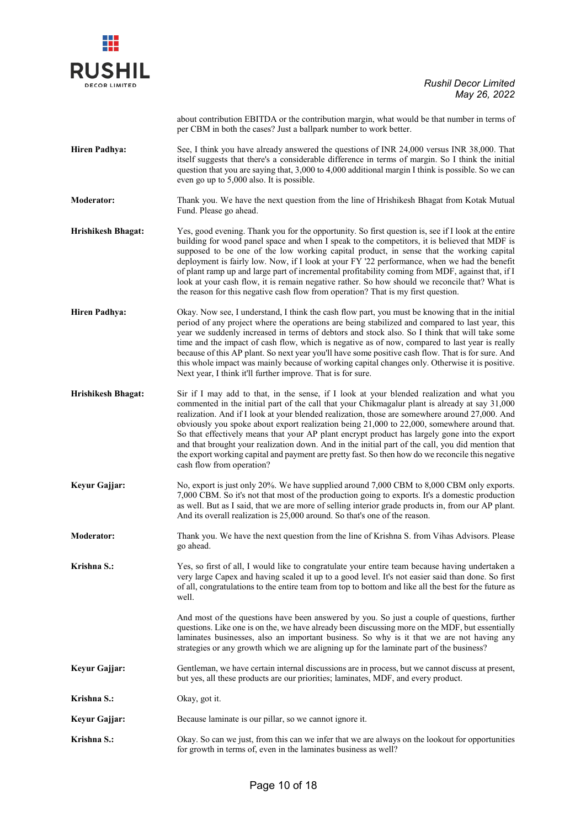| ΗI<br>S              |  |
|----------------------|--|
| <b>DECOR LIMITED</b> |  |

about contribution EBITDA or the contribution margin, what would be that number in terms of per CBM in both the cases? Just a ballpark number to work better.

**Hiren Padhya:** See, I think you have already answered the questions of INR 24,000 versus INR 38,000. That itself suggests that there's a considerable difference in terms of margin. So I think the initial question that you are saying that, 3,000 to 4,000 additional margin I think is possible. So we can even go up to 5,000 also. It is possible.

**Moderator:** Thank you. We have the next question from the line of Hrishikesh Bhagat from Kotak Mutual Fund. Please go ahead.

- **Hrishikesh Bhagat:** Yes, good evening. Thank you for the opportunity. So first question is, see if I look at the entire building for wood panel space and when I speak to the competitors, it is believed that MDF is supposed to be one of the low working capital product, in sense that the working capital deployment is fairly low. Now, if I look at your FY '22 performance, when we had the benefit of plant ramp up and large part of incremental profitability coming from MDF, against that, if I look at your cash flow, it is remain negative rather. So how should we reconcile that? What is the reason for this negative cash flow from operation? That is my first question.
- **Hiren Padhya:** Okay. Now see, I understand, I think the cash flow part, you must be knowing that in the initial period of any project where the operations are being stabilized and compared to last year, this year we suddenly increased in terms of debtors and stock also. So I think that will take some time and the impact of cash flow, which is negative as of now, compared to last year is really because of this AP plant. So next year you'll have some positive cash flow. That is for sure. And this whole impact was mainly because of working capital changes only. Otherwise it is positive. Next year, I think it'll further improve. That is for sure.
- **Hrishikesh Bhagat:** Sir if I may add to that, in the sense, if I look at your blended realization and what you commented in the initial part of the call that your Chikmagalur plant is already at say 31,000 realization. And if I look at your blended realization, those are somewhere around 27,000. And obviously you spoke about export realization being 21,000 to 22,000, somewhere around that. So that effectively means that your AP plant encrypt product has largely gone into the export and that brought your realization down. And in the initial part of the call, you did mention that the export working capital and payment are pretty fast. So then how do we reconcile this negative cash flow from operation?
- **Keyur Gajjar:** No, export is just only 20%. We have supplied around 7,000 CBM to 8,000 CBM only exports. 7,000 CBM. So it's not that most of the production going to exports. It's a domestic production as well. But as I said, that we are more of selling interior grade products in, from our AP plant. And its overall realization is 25,000 around. So that's one of the reason.
- **Moderator:** Thank you. We have the next question from the line of Krishna S. from Vihas Advisors. Please go ahead.
- **Krishna S.:** Yes, so first of all, I would like to congratulate your entire team because having undertaken a very large Capex and having scaled it up to a good level. It's not easier said than done. So first of all, congratulations to the entire team from top to bottom and like all the best for the future as well.

And most of the questions have been answered by you. So just a couple of questions, further questions. Like one is on the, we have already been discussing more on the MDF, but essentially laminates businesses, also an important business. So why is it that we are not having any strategies or any growth which we are aligning up for the laminate part of the business?

- **Keyur Gajjar:** Gentleman, we have certain internal discussions are in process, but we cannot discuss at present, but yes, all these products are our priorities; laminates, MDF, and every product.
- **Krishna S.:** Okay, got it.

**Keyur Gajjar:** Because laminate is our pillar, so we cannot ignore it.

**Krishna S.:** Okay. So can we just, from this can we infer that we are always on the lookout for opportunities for growth in terms of, even in the laminates business as well?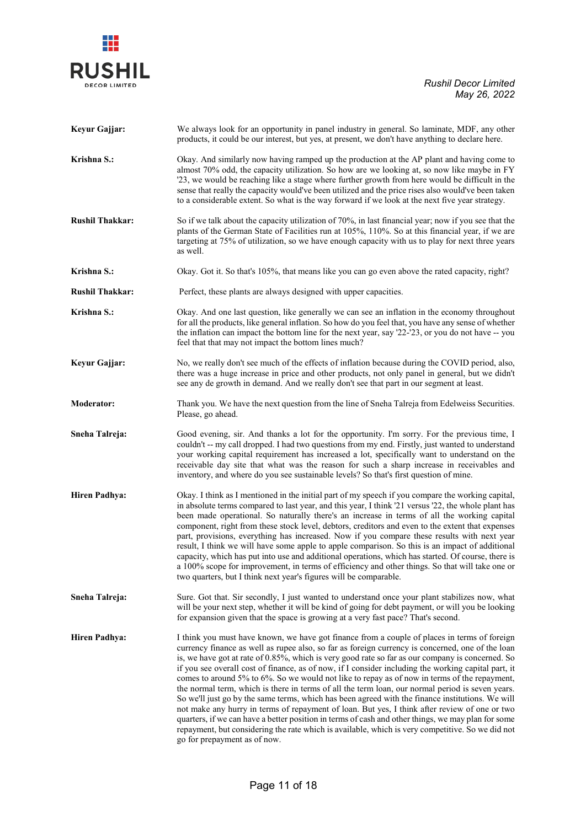

| Keyur Gajjar:          | We always look for an opportunity in panel industry in general. So laminate, MDF, any other<br>products, it could be our interest, but yes, at present, we don't have anything to declare here.                                                                                                                                                                                                                                                                                                                                                                                                                                                                                                                                                                                                                                                                                                                                                                                                                                                                |
|------------------------|----------------------------------------------------------------------------------------------------------------------------------------------------------------------------------------------------------------------------------------------------------------------------------------------------------------------------------------------------------------------------------------------------------------------------------------------------------------------------------------------------------------------------------------------------------------------------------------------------------------------------------------------------------------------------------------------------------------------------------------------------------------------------------------------------------------------------------------------------------------------------------------------------------------------------------------------------------------------------------------------------------------------------------------------------------------|
| Krishna S.:            | Okay. And similarly now having ramped up the production at the AP plant and having come to<br>almost 70% odd, the capacity utilization. So how are we looking at, so now like maybe in FY<br>'23, we would be reaching like a stage where further growth from here would be difficult in the<br>sense that really the capacity would've been utilized and the price rises also would've been taken<br>to a considerable extent. So what is the way forward if we look at the next five year strategy.                                                                                                                                                                                                                                                                                                                                                                                                                                                                                                                                                          |
| <b>Rushil Thakkar:</b> | So if we talk about the capacity utilization of 70%, in last financial year; now if you see that the<br>plants of the German State of Facilities run at 105%, 110%. So at this financial year, if we are<br>targeting at 75% of utilization, so we have enough capacity with us to play for next three years<br>as well.                                                                                                                                                                                                                                                                                                                                                                                                                                                                                                                                                                                                                                                                                                                                       |
| Krishna S.:            | Okay. Got it. So that's 105%, that means like you can go even above the rated capacity, right?                                                                                                                                                                                                                                                                                                                                                                                                                                                                                                                                                                                                                                                                                                                                                                                                                                                                                                                                                                 |
| <b>Rushil Thakkar:</b> | Perfect, these plants are always designed with upper capacities.                                                                                                                                                                                                                                                                                                                                                                                                                                                                                                                                                                                                                                                                                                                                                                                                                                                                                                                                                                                               |
| Krishna S.:            | Okay. And one last question, like generally we can see an inflation in the economy throughout<br>for all the products, like general inflation. So how do you feel that, you have any sense of whether<br>the inflation can impact the bottom line for the next year, say '22-'23, or you do not have -- you<br>feel that that may not impact the bottom lines much?                                                                                                                                                                                                                                                                                                                                                                                                                                                                                                                                                                                                                                                                                            |
| Keyur Gajjar:          | No, we really don't see much of the effects of inflation because during the COVID period, also,<br>there was a huge increase in price and other products, not only panel in general, but we didn't<br>see any de growth in demand. And we really don't see that part in our segment at least.                                                                                                                                                                                                                                                                                                                                                                                                                                                                                                                                                                                                                                                                                                                                                                  |
| <b>Moderator:</b>      | Thank you. We have the next question from the line of Sneha Talreja from Edelweiss Securities.<br>Please, go ahead.                                                                                                                                                                                                                                                                                                                                                                                                                                                                                                                                                                                                                                                                                                                                                                                                                                                                                                                                            |
| Sneha Talreja:         | Good evening, sir. And thanks a lot for the opportunity. I'm sorry. For the previous time, I<br>couldn't -- my call dropped. I had two questions from my end. Firstly, just wanted to understand<br>your working capital requirement has increased a lot, specifically want to understand on the<br>receivable day site that what was the reason for such a sharp increase in receivables and<br>inventory, and where do you see sustainable levels? So that's first question of mine.                                                                                                                                                                                                                                                                                                                                                                                                                                                                                                                                                                         |
| <b>Hiren Padhya:</b>   | Okay. I think as I mentioned in the initial part of my speech if you compare the working capital,<br>in absolute terms compared to last year, and this year, I think '21 versus '22, the whole plant has<br>been made operational. So naturally there's an increase in terms of all the working capital<br>component, right from these stock level, debtors, creditors and even to the extent that expenses<br>part, provisions, everything has increased. Now if you compare these results with next year<br>result, I think we will have some apple to apple comparison. So this is an impact of additional<br>capacity, which has put into use and additional operations, which has started. Of course, there is<br>a 100% scope for improvement, in terms of efficiency and other things. So that will take one or<br>two quarters, but I think next year's figures will be comparable.                                                                                                                                                                    |
| Sneha Talreja:         | Sure. Got that. Sir secondly, I just wanted to understand once your plant stabilizes now, what<br>will be your next step, whether it will be kind of going for debt payment, or will you be looking<br>for expansion given that the space is growing at a very fast pace? That's second.                                                                                                                                                                                                                                                                                                                                                                                                                                                                                                                                                                                                                                                                                                                                                                       |
| <b>Hiren Padhya:</b>   | I think you must have known, we have got finance from a couple of places in terms of foreign<br>currency finance as well as rupee also, so far as foreign currency is concerned, one of the loan<br>is, we have got at rate of 0.85%, which is very good rate so far as our company is concerned. So<br>if you see overall cost of finance, as of now, if I consider including the working capital part, it<br>comes to around 5% to 6%. So we would not like to repay as of now in terms of the repayment,<br>the normal term, which is there in terms of all the term loan, our normal period is seven years.<br>So we'll just go by the same terms, which has been agreed with the finance institutions. We will<br>not make any hurry in terms of repayment of loan. But yes, I think after review of one or two<br>quarters, if we can have a better position in terms of cash and other things, we may plan for some<br>repayment, but considering the rate which is available, which is very competitive. So we did not<br>go for prepayment as of now. |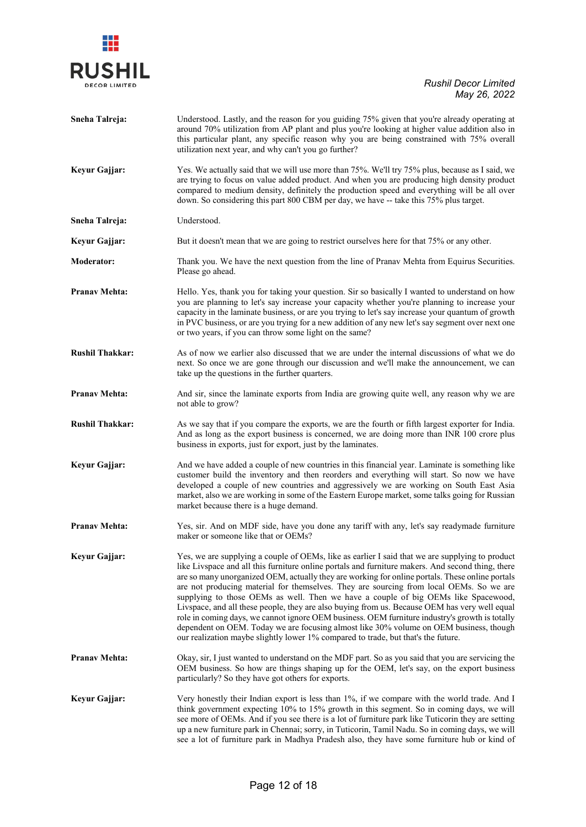# 業 **RUSHIL**

| Sneha Talreja:         | Understood. Lastly, and the reason for you guiding 75% given that you're already operating at<br>around 70% utilization from AP plant and plus you're looking at higher value addition also in<br>this particular plant, any specific reason why you are being constrained with 75% overall<br>utilization next year, and why can't you go further?                                                                                                                                                                                                                                                                                                                                                                                                                                                                                                                        |
|------------------------|----------------------------------------------------------------------------------------------------------------------------------------------------------------------------------------------------------------------------------------------------------------------------------------------------------------------------------------------------------------------------------------------------------------------------------------------------------------------------------------------------------------------------------------------------------------------------------------------------------------------------------------------------------------------------------------------------------------------------------------------------------------------------------------------------------------------------------------------------------------------------|
| Keyur Gajjar:          | Yes. We actually said that we will use more than 75%. We'll try 75% plus, because as I said, we<br>are trying to focus on value added product. And when you are producing high density product<br>compared to medium density, definitely the production speed and everything will be all over<br>down. So considering this part 800 CBM per day, we have -- take this 75% plus target.                                                                                                                                                                                                                                                                                                                                                                                                                                                                                     |
| Sneha Talreja:         | Understood.                                                                                                                                                                                                                                                                                                                                                                                                                                                                                                                                                                                                                                                                                                                                                                                                                                                                |
| Keyur Gajjar:          | But it doesn't mean that we are going to restrict ourselves here for that 75% or any other.                                                                                                                                                                                                                                                                                                                                                                                                                                                                                                                                                                                                                                                                                                                                                                                |
| <b>Moderator:</b>      | Thank you. We have the next question from the line of Pranav Mehta from Equirus Securities.<br>Please go ahead.                                                                                                                                                                                                                                                                                                                                                                                                                                                                                                                                                                                                                                                                                                                                                            |
| <b>Pranav Mehta:</b>   | Hello. Yes, thank you for taking your question. Sir so basically I wanted to understand on how<br>you are planning to let's say increase your capacity whether you're planning to increase your<br>capacity in the laminate business, or are you trying to let's say increase your quantum of growth<br>in PVC business, or are you trying for a new addition of any new let's say segment over next one<br>or two years, if you can throw some light on the same?                                                                                                                                                                                                                                                                                                                                                                                                         |
| <b>Rushil Thakkar:</b> | As of now we earlier also discussed that we are under the internal discussions of what we do<br>next. So once we are gone through our discussion and we'll make the announcement, we can<br>take up the questions in the further quarters.                                                                                                                                                                                                                                                                                                                                                                                                                                                                                                                                                                                                                                 |
| <b>Pranav Mehta:</b>   | And sir, since the laminate exports from India are growing quite well, any reason why we are<br>not able to grow?                                                                                                                                                                                                                                                                                                                                                                                                                                                                                                                                                                                                                                                                                                                                                          |
| <b>Rushil Thakkar:</b> | As we say that if you compare the exports, we are the fourth or fifth largest exporter for India.<br>And as long as the export business is concerned, we are doing more than INR 100 crore plus<br>business in exports, just for export, just by the laminates.                                                                                                                                                                                                                                                                                                                                                                                                                                                                                                                                                                                                            |
| Keyur Gajjar:          | And we have added a couple of new countries in this financial year. Laminate is something like<br>customer build the inventory and then reorders and everything will start. So now we have<br>developed a couple of new countries and aggressively we are working on South East Asia<br>market, also we are working in some of the Eastern Europe market, some talks going for Russian<br>market because there is a huge demand.                                                                                                                                                                                                                                                                                                                                                                                                                                           |
| <b>Pranav Mehta:</b>   | Yes, sir. And on MDF side, have you done any tariff with any, let's say readymade furniture<br>maker or someone like that or OEMs?                                                                                                                                                                                                                                                                                                                                                                                                                                                                                                                                                                                                                                                                                                                                         |
| Keyur Gajjar:          | Yes, we are supplying a couple of OEMs, like as earlier I said that we are supplying to product<br>like Livspace and all this furniture online portals and furniture makers. And second thing, there<br>are so many unorganized OEM, actually they are working for online portals. These online portals<br>are not producing material for themselves. They are sourcing from local OEMs. So we are<br>supplying to those OEMs as well. Then we have a couple of big OEMs like Spacewood,<br>Livspace, and all these people, they are also buying from us. Because OEM has very well equal<br>role in coming days, we cannot ignore OEM business. OEM furniture industry's growth is totally<br>dependent on OEM. Today we are focusing almost like 30% volume on OEM business, though<br>our realization maybe slightly lower 1% compared to trade, but that's the future. |
| <b>Pranav Mehta:</b>   | Okay, sir, I just wanted to understand on the MDF part. So as you said that you are servicing the<br>OEM business. So how are things shaping up for the OEM, let's say, on the export business<br>particularly? So they have got others for exports.                                                                                                                                                                                                                                                                                                                                                                                                                                                                                                                                                                                                                       |
| Keyur Gajjar:          | Very honestly their Indian export is less than 1%, if we compare with the world trade. And I<br>think government expecting 10% to 15% growth in this segment. So in coming days, we will<br>see more of OEMs. And if you see there is a lot of furniture park like Tuticorin they are setting<br>up a new furniture park in Chennai; sorry, in Tuticorin, Tamil Nadu. So in coming days, we will<br>see a lot of furniture park in Madhya Pradesh also, they have some furniture hub or kind of                                                                                                                                                                                                                                                                                                                                                                            |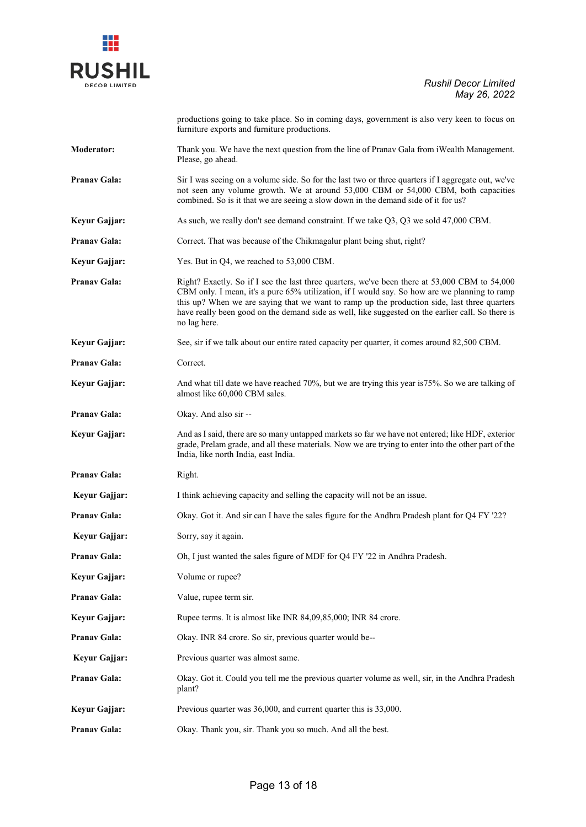

productions going to take place. So in coming days, government is also very keen to focus on furniture exports and furniture productions.

**Moderator:** Thank you. We have the next question from the line of Pranav Gala from iWealth Management. Please, go ahead.

- **Pranav Gala:** Sir I was seeing on a volume side. So for the last two or three quarters if I aggregate out, we've not seen any volume growth. We at around 53,000 CBM or 54,000 CBM, both capacities combined. So is it that we are seeing a slow down in the demand side of it for us?
- **Keyur Gajjar:** As such, we really don't see demand constraint. If we take Q3, Q3 we sold 47,000 CBM.
- Pranav Gala: Correct. That was because of the Chikmagalur plant being shut, right?
- **Keyur Gajjar:** Yes. But in Q4, we reached to 53,000 CBM.
- **Pranav Gala:** Right? Exactly. So if I see the last three quarters, we've been there at 53,000 CBM to 54,000 CBM only. I mean, it's a pure 65% utilization, if I would say. So how are we planning to ramp this up? When we are saying that we want to ramp up the production side, last three quarters have really been good on the demand side as well, like suggested on the earlier call. So there is no lag here.
- **Keyur Gajjar:** See, sir if we talk about our entire rated capacity per quarter, it comes around 82,500 CBM.
- Pranav Gala: Correct.
- **Keyur Gajjar:** And what till date we have reached 70%, but we are trying this year is 75%. So we are talking of almost like 60,000 CBM sales.
- **Pranav Gala:** Okay. And also sir --
- **Keyur Gajjar:** And as I said, there are so many untapped markets so far we have not entered; like HDF, exterior grade, Prelam grade, and all these materials. Now we are trying to enter into the other part of the India, like north India, east India.
- Pranav Gala: Right.
- **Keyur Gajjar:** I think achieving capacity and selling the capacity will not be an issue.
- **Pranav Gala:** Okay. Got it. And sir can I have the sales figure for the Andhra Pradesh plant for Q4 FY '22?
- **Keyur Gajjar:** Sorry, say it again.
- **Pranav Gala:** Oh, I just wanted the sales figure of MDF for Q4 FY '22 in Andhra Pradesh.
- **Keyur Gajjar:** Volume or rupee?
- **Pranav Gala:** Value, rupee term sir.
- **Keyur Gajjar:** Rupee terms. It is almost like INR 84,09,85,000; INR 84 crore.
- Pranav Gala: Okay. INR 84 crore. So sir, previous quarter would be--
- **Keyur Gajjar:** Previous quarter was almost same.
- **Pranav Gala:** Okay. Got it. Could you tell me the previous quarter volume as well, sir, in the Andhra Pradesh plant?
- **Keyur Gajjar:** Previous quarter was 36,000, and current quarter this is 33,000.
- **Pranav Gala:** Okay. Thank you, sir. Thank you so much. And all the best.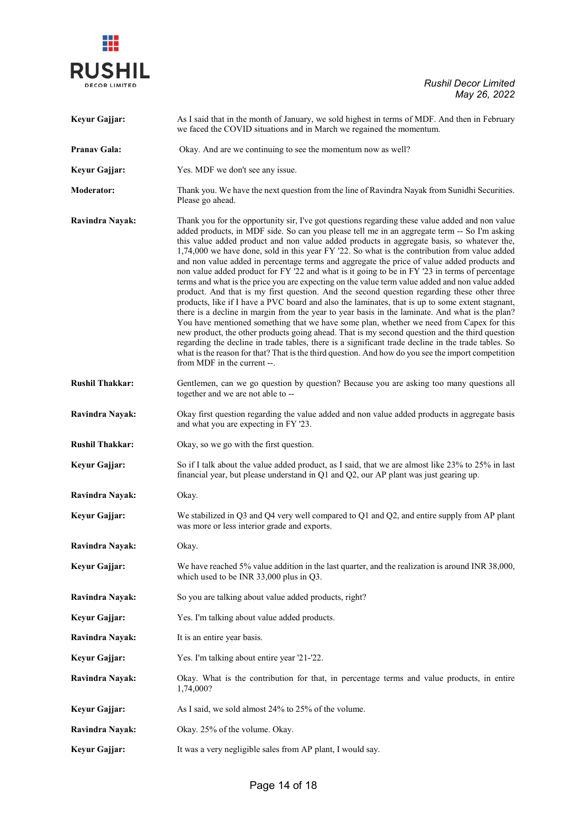

| Keyur Gajjar:          | As I said that in the month of January, we sold highest in terms of MDF. And then in February<br>we faced the COVID situations and in March we regained the momentum.                                                                                                                                                                                                                                                                                                                                                                                                                                                                                                                                                                                                                                                                                                                                                                                                                                                                                                                                                                                                                                                                                                                                                                                                                                                                              |
|------------------------|----------------------------------------------------------------------------------------------------------------------------------------------------------------------------------------------------------------------------------------------------------------------------------------------------------------------------------------------------------------------------------------------------------------------------------------------------------------------------------------------------------------------------------------------------------------------------------------------------------------------------------------------------------------------------------------------------------------------------------------------------------------------------------------------------------------------------------------------------------------------------------------------------------------------------------------------------------------------------------------------------------------------------------------------------------------------------------------------------------------------------------------------------------------------------------------------------------------------------------------------------------------------------------------------------------------------------------------------------------------------------------------------------------------------------------------------------|
| <b>Pranav Gala:</b>    | Okay. And are we continuing to see the momentum now as well?                                                                                                                                                                                                                                                                                                                                                                                                                                                                                                                                                                                                                                                                                                                                                                                                                                                                                                                                                                                                                                                                                                                                                                                                                                                                                                                                                                                       |
| Keyur Gajjar:          | Yes. MDF we don't see any issue.                                                                                                                                                                                                                                                                                                                                                                                                                                                                                                                                                                                                                                                                                                                                                                                                                                                                                                                                                                                                                                                                                                                                                                                                                                                                                                                                                                                                                   |
| <b>Moderator:</b>      | Thank you. We have the next question from the line of Ravindra Nayak from Sunidhi Securities.<br>Please go ahead.                                                                                                                                                                                                                                                                                                                                                                                                                                                                                                                                                                                                                                                                                                                                                                                                                                                                                                                                                                                                                                                                                                                                                                                                                                                                                                                                  |
| <b>Ravindra Nayak:</b> | Thank you for the opportunity sir, I've got questions regarding these value added and non value<br>added products, in MDF side. So can you please tell me in an aggregate term -- So I'm asking<br>this value added product and non value added products in aggregate basis, so whatever the,<br>1,74,000 we have done, sold in this year FY '22. So what is the contribution from value added<br>and non value added in percentage terms and aggregate the price of value added products and<br>non value added product for FY '22 and what is it going to be in FY '23 in terms of percentage<br>terms and what is the price you are expecting on the value term value added and non value added<br>product. And that is my first question. And the second question regarding these other three<br>products, like if I have a PVC board and also the laminates, that is up to some extent stagnant,<br>there is a decline in margin from the year to year basis in the laminate. And what is the plan?<br>You have mentioned something that we have some plan, whether we need from Capex for this<br>new product, the other products going ahead. That is my second question and the third question<br>regarding the decline in trade tables, there is a significant trade decline in the trade tables. So<br>what is the reason for that? That is the third question. And how do you see the import competition<br>from MDF in the current --. |
| <b>Rushil Thakkar:</b> | Gentlemen, can we go question by question? Because you are asking too many questions all<br>together and we are not able to --                                                                                                                                                                                                                                                                                                                                                                                                                                                                                                                                                                                                                                                                                                                                                                                                                                                                                                                                                                                                                                                                                                                                                                                                                                                                                                                     |
| Ravindra Nayak:        | Okay first question regarding the value added and non value added products in aggregate basis<br>and what you are expecting in FY '23.                                                                                                                                                                                                                                                                                                                                                                                                                                                                                                                                                                                                                                                                                                                                                                                                                                                                                                                                                                                                                                                                                                                                                                                                                                                                                                             |
| <b>Rushil Thakkar:</b> | Okay, so we go with the first question.                                                                                                                                                                                                                                                                                                                                                                                                                                                                                                                                                                                                                                                                                                                                                                                                                                                                                                                                                                                                                                                                                                                                                                                                                                                                                                                                                                                                            |
| Keyur Gajjar:          | So if I talk about the value added product, as I said, that we are almost like 23% to 25% in last<br>financial year, but please understand in Q1 and Q2, our AP plant was just gearing up.                                                                                                                                                                                                                                                                                                                                                                                                                                                                                                                                                                                                                                                                                                                                                                                                                                                                                                                                                                                                                                                                                                                                                                                                                                                         |
| Ravindra Nayak:        | Okay.                                                                                                                                                                                                                                                                                                                                                                                                                                                                                                                                                                                                                                                                                                                                                                                                                                                                                                                                                                                                                                                                                                                                                                                                                                                                                                                                                                                                                                              |
| Keyur Gajjar:          | We stabilized in $Q3$ and $Q4$ very well compared to $Q1$ and $Q2$ , and entire supply from AP plant<br>was more or less interior grade and exports.                                                                                                                                                                                                                                                                                                                                                                                                                                                                                                                                                                                                                                                                                                                                                                                                                                                                                                                                                                                                                                                                                                                                                                                                                                                                                               |
| Ravindra Nayak:        | Okay.                                                                                                                                                                                                                                                                                                                                                                                                                                                                                                                                                                                                                                                                                                                                                                                                                                                                                                                                                                                                                                                                                                                                                                                                                                                                                                                                                                                                                                              |
| Keyur Gajjar:          | We have reached 5% value addition in the last quarter, and the realization is around INR 38,000,<br>which used to be INR 33,000 plus in Q3.                                                                                                                                                                                                                                                                                                                                                                                                                                                                                                                                                                                                                                                                                                                                                                                                                                                                                                                                                                                                                                                                                                                                                                                                                                                                                                        |
| Ravindra Nayak:        | So you are talking about value added products, right?                                                                                                                                                                                                                                                                                                                                                                                                                                                                                                                                                                                                                                                                                                                                                                                                                                                                                                                                                                                                                                                                                                                                                                                                                                                                                                                                                                                              |
| Keyur Gajjar:          | Yes. I'm talking about value added products.                                                                                                                                                                                                                                                                                                                                                                                                                                                                                                                                                                                                                                                                                                                                                                                                                                                                                                                                                                                                                                                                                                                                                                                                                                                                                                                                                                                                       |
| Ravindra Nayak:        | It is an entire year basis.                                                                                                                                                                                                                                                                                                                                                                                                                                                                                                                                                                                                                                                                                                                                                                                                                                                                                                                                                                                                                                                                                                                                                                                                                                                                                                                                                                                                                        |
| Keyur Gajjar:          | Yes. I'm talking about entire year '21-'22.                                                                                                                                                                                                                                                                                                                                                                                                                                                                                                                                                                                                                                                                                                                                                                                                                                                                                                                                                                                                                                                                                                                                                                                                                                                                                                                                                                                                        |
| Ravindra Nayak:        | Okay. What is the contribution for that, in percentage terms and value products, in entire<br>1,74,000?                                                                                                                                                                                                                                                                                                                                                                                                                                                                                                                                                                                                                                                                                                                                                                                                                                                                                                                                                                                                                                                                                                                                                                                                                                                                                                                                            |
| Keyur Gajjar:          | As I said, we sold almost 24% to 25% of the volume.                                                                                                                                                                                                                                                                                                                                                                                                                                                                                                                                                                                                                                                                                                                                                                                                                                                                                                                                                                                                                                                                                                                                                                                                                                                                                                                                                                                                |
| Ravindra Nayak:        | Okay. 25% of the volume. Okay.                                                                                                                                                                                                                                                                                                                                                                                                                                                                                                                                                                                                                                                                                                                                                                                                                                                                                                                                                                                                                                                                                                                                                                                                                                                                                                                                                                                                                     |
| Keyur Gajjar:          | It was a very negligible sales from AP plant, I would say.                                                                                                                                                                                                                                                                                                                                                                                                                                                                                                                                                                                                                                                                                                                                                                                                                                                                                                                                                                                                                                                                                                                                                                                                                                                                                                                                                                                         |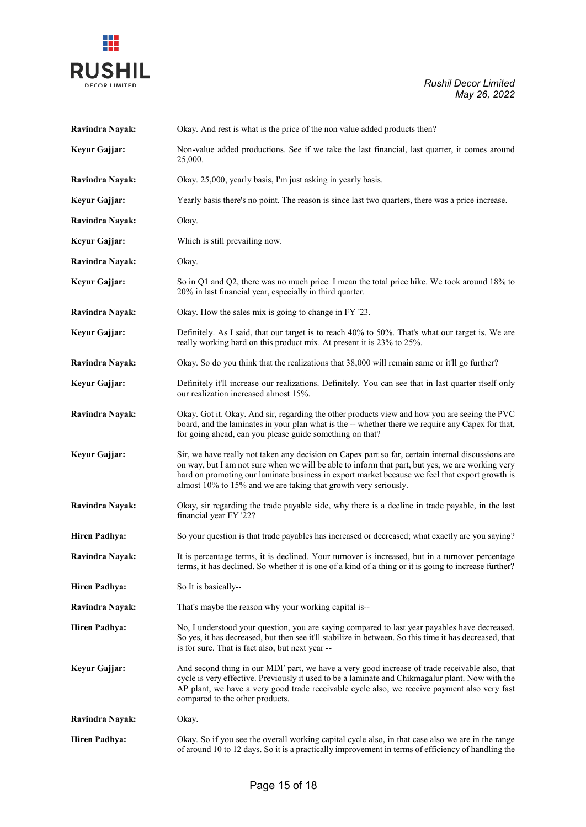



| Ravindra Nayak:      | Okay. And rest is what is the price of the non value added products then?                                                                                                                                                                                                                                                                                                  |
|----------------------|----------------------------------------------------------------------------------------------------------------------------------------------------------------------------------------------------------------------------------------------------------------------------------------------------------------------------------------------------------------------------|
| Keyur Gajjar:        | Non-value added productions. See if we take the last financial, last quarter, it comes around<br>25,000.                                                                                                                                                                                                                                                                   |
| Ravindra Nayak:      | Okay. 25,000, yearly basis, I'm just asking in yearly basis.                                                                                                                                                                                                                                                                                                               |
| Keyur Gajjar:        | Yearly basis there's no point. The reason is since last two quarters, there was a price increase.                                                                                                                                                                                                                                                                          |
| Ravindra Nayak:      | Okay.                                                                                                                                                                                                                                                                                                                                                                      |
| Keyur Gajjar:        | Which is still prevailing now.                                                                                                                                                                                                                                                                                                                                             |
| Ravindra Nayak:      | Okay.                                                                                                                                                                                                                                                                                                                                                                      |
| Keyur Gajjar:        | So in Q1 and Q2, there was no much price. I mean the total price hike. We took around 18% to<br>20% in last financial year, especially in third quarter.                                                                                                                                                                                                                   |
| Ravindra Nayak:      | Okay. How the sales mix is going to change in FY '23.                                                                                                                                                                                                                                                                                                                      |
| Keyur Gajjar:        | Definitely. As I said, that our target is to reach 40% to 50%. That's what our target is. We are<br>really working hard on this product mix. At present it is 23% to 25%.                                                                                                                                                                                                  |
| Ravindra Nayak:      | Okay. So do you think that the realizations that 38,000 will remain same or it'll go further?                                                                                                                                                                                                                                                                              |
| Keyur Gajjar:        | Definitely it'll increase our realizations. Definitely. You can see that in last quarter itself only<br>our realization increased almost 15%.                                                                                                                                                                                                                              |
| Ravindra Nayak:      | Okay. Got it. Okay. And sir, regarding the other products view and how you are seeing the PVC<br>board, and the laminates in your plan what is the -- whether there we require any Capex for that,<br>for going ahead, can you please guide something on that?                                                                                                             |
| Keyur Gajjar:        | Sir, we have really not taken any decision on Capex part so far, certain internal discussions are<br>on way, but I am not sure when we will be able to inform that part, but yes, we are working very<br>hard on promoting our laminate business in export market because we feel that export growth is<br>almost 10% to 15% and we are taking that growth very seriously. |
| Ravindra Nayak:      | Okay, sir regarding the trade payable side, why there is a decline in trade payable, in the last<br>financial year FY '22?                                                                                                                                                                                                                                                 |
| <b>Hiren Padhya:</b> | So your question is that trade payables has increased or decreased; what exactly are you saying?                                                                                                                                                                                                                                                                           |
| Ravindra Nayak:      | It is percentage terms, it is declined. Your turnover is increased, but in a turnover percentage<br>terms, it has declined. So whether it is one of a kind of a thing or it is going to increase further?                                                                                                                                                                  |
| <b>Hiren Padhya:</b> | So It is basically--                                                                                                                                                                                                                                                                                                                                                       |
| Ravindra Nayak:      | That's maybe the reason why your working capital is--                                                                                                                                                                                                                                                                                                                      |
| <b>Hiren Padhya:</b> | No, I understood your question, you are saying compared to last year payables have decreased.<br>So yes, it has decreased, but then see it'll stabilize in between. So this time it has decreased, that<br>is for sure. That is fact also, but next year --                                                                                                                |
| Keyur Gajjar:        | And second thing in our MDF part, we have a very good increase of trade receivable also, that<br>cycle is very effective. Previously it used to be a laminate and Chikmagalur plant. Now with the<br>AP plant, we have a very good trade receivable cycle also, we receive payment also very fast<br>compared to the other products.                                       |
| Ravindra Nayak:      | Okay.                                                                                                                                                                                                                                                                                                                                                                      |
| <b>Hiren Padhya:</b> | Okay. So if you see the overall working capital cycle also, in that case also we are in the range<br>of around 10 to 12 days. So it is a practically improvement in terms of efficiency of handling the                                                                                                                                                                    |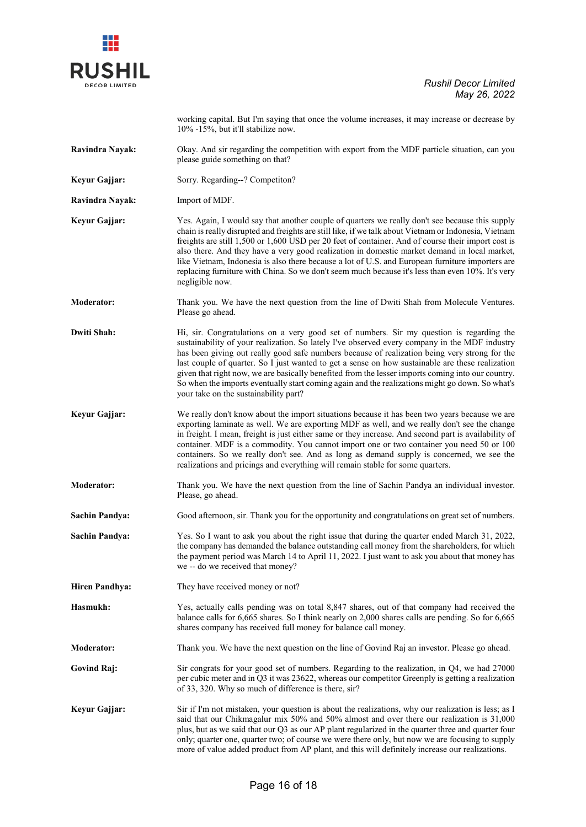

|                       | working capital. But I'm saying that once the volume increases, it may increase or decrease by<br>10% -15%, but it'll stabilize now.                                                                                                                                                                                                                                                                                                                                                                                                                                                                                                            |
|-----------------------|-------------------------------------------------------------------------------------------------------------------------------------------------------------------------------------------------------------------------------------------------------------------------------------------------------------------------------------------------------------------------------------------------------------------------------------------------------------------------------------------------------------------------------------------------------------------------------------------------------------------------------------------------|
| Ravindra Nayak:       | Okay. And sir regarding the competition with export from the MDF particle situation, can you<br>please guide something on that?                                                                                                                                                                                                                                                                                                                                                                                                                                                                                                                 |
| Keyur Gajjar:         | Sorry. Regarding--? Competiton?                                                                                                                                                                                                                                                                                                                                                                                                                                                                                                                                                                                                                 |
| Ravindra Nayak:       | Import of MDF.                                                                                                                                                                                                                                                                                                                                                                                                                                                                                                                                                                                                                                  |
| Keyur Gajjar:         | Yes. Again, I would say that another couple of quarters we really don't see because this supply<br>chain is really disrupted and freights are still like, if we talk about Vietnam or Indonesia, Vietnam<br>freights are still 1,500 or 1,600 USD per 20 feet of container. And of course their import cost is<br>also there. And they have a very good realization in domestic market demand in local market,<br>like Vietnam, Indonesia is also there because a lot of U.S. and European furniture importers are<br>replacing furniture with China. So we don't seem much because it's less than even 10%. It's very<br>negligible now.       |
| <b>Moderator:</b>     | Thank you. We have the next question from the line of Dwiti Shah from Molecule Ventures.<br>Please go ahead.                                                                                                                                                                                                                                                                                                                                                                                                                                                                                                                                    |
| <b>Dwiti Shah:</b>    | Hi, sir. Congratulations on a very good set of numbers. Sir my question is regarding the<br>sustainability of your realization. So lately I've observed every company in the MDF industry<br>has been giving out really good safe numbers because of realization being very strong for the<br>last couple of quarter. So I just wanted to get a sense on how sustainable are these realization<br>given that right now, we are basically benefited from the lesser imports coming into our country.<br>So when the imports eventually start coming again and the realizations might go down. So what's<br>your take on the sustainability part? |
| Keyur Gajjar:         | We really don't know about the import situations because it has been two years because we are<br>exporting laminate as well. We are exporting MDF as well, and we really don't see the change<br>in freight. I mean, freight is just either same or they increase. And second part is availability of<br>container. MDF is a commodity. You cannot import one or two container you need 50 or 100<br>containers. So we really don't see. And as long as demand supply is concerned, we see the<br>realizations and pricings and everything will remain stable for some quarters.                                                                |
| Moderator:            | Thank you. We have the next question from the line of Sachin Pandya an individual investor.<br>Please, go ahead.                                                                                                                                                                                                                                                                                                                                                                                                                                                                                                                                |
| <b>Sachin Pandya:</b> | Good afternoon, sir. Thank you for the opportunity and congratulations on great set of numbers.                                                                                                                                                                                                                                                                                                                                                                                                                                                                                                                                                 |
| <b>Sachin Pandya:</b> | Yes. So I want to ask you about the right issue that during the quarter ended March 31, 2022,<br>the company has demanded the balance outstanding call money from the shareholders, for which<br>the payment period was March 14 to April 11, 2022. I just want to ask you about that money has<br>we -- do we received that money?                                                                                                                                                                                                                                                                                                             |
| <b>Hiren Pandhya:</b> | They have received money or not?                                                                                                                                                                                                                                                                                                                                                                                                                                                                                                                                                                                                                |
| Hasmukh:              | Yes, actually calls pending was on total 8,847 shares, out of that company had received the<br>balance calls for 6,665 shares. So I think nearly on 2,000 shares calls are pending. So for 6,665<br>shares company has received full money for balance call money.                                                                                                                                                                                                                                                                                                                                                                              |
| <b>Moderator:</b>     | Thank you. We have the next question on the line of Govind Raj an investor. Please go ahead.                                                                                                                                                                                                                                                                                                                                                                                                                                                                                                                                                    |
| <b>Govind Raj:</b>    | Sir congrats for your good set of numbers. Regarding to the realization, in Q4, we had 27000<br>per cubic meter and in Q3 it was 23622, whereas our competitor Greenply is getting a realization<br>of 33, 320. Why so much of difference is there, sir?                                                                                                                                                                                                                                                                                                                                                                                        |
| Keyur Gajjar:         | Sir if I'm not mistaken, your question is about the realizations, why our realization is less; as I<br>said that our Chikmagalur mix 50% and 50% almost and over there our realization is 31,000<br>plus, but as we said that our Q3 as our AP plant regularized in the quarter three and quarter four<br>only; quarter one, quarter two; of course we were there only, but now we are focusing to supply<br>more of value added product from AP plant, and this will definitely increase our realizations.                                                                                                                                     |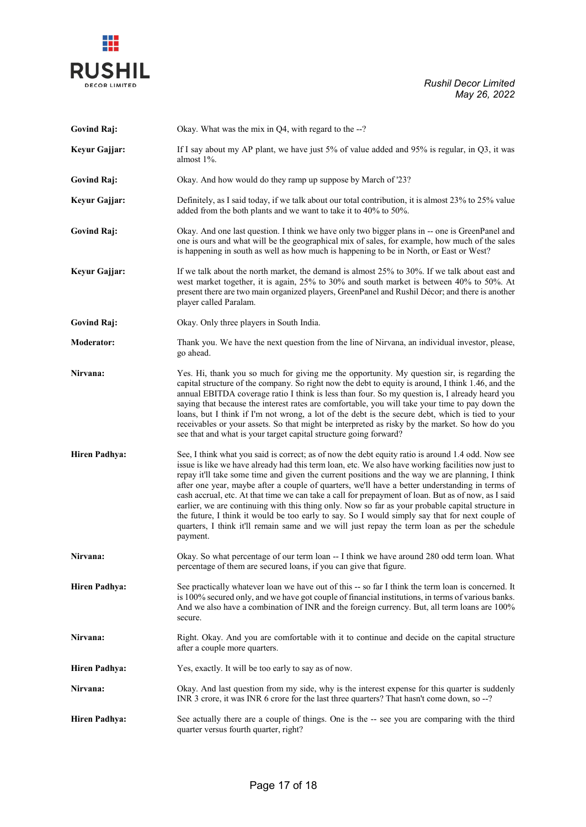

**Govind Raj:** Okay. What was the mix in Q4, with regard to the --?

| Keyur Gajjar:        | If I say about my AP plant, we have just 5% of value added and 95% is regular, in Q3, it was<br>almost $1\%$ .                                                                                                                                                                                                                                                                                                                                                                                                                                                                                                                                                                                                                                                                                                                           |
|----------------------|------------------------------------------------------------------------------------------------------------------------------------------------------------------------------------------------------------------------------------------------------------------------------------------------------------------------------------------------------------------------------------------------------------------------------------------------------------------------------------------------------------------------------------------------------------------------------------------------------------------------------------------------------------------------------------------------------------------------------------------------------------------------------------------------------------------------------------------|
| <b>Govind Raj:</b>   | Okay. And how would do they ramp up suppose by March of '23?                                                                                                                                                                                                                                                                                                                                                                                                                                                                                                                                                                                                                                                                                                                                                                             |
| Keyur Gajjar:        | Definitely, as I said today, if we talk about our total contribution, it is almost 23% to 25% value<br>added from the both plants and we want to take it to 40% to 50%.                                                                                                                                                                                                                                                                                                                                                                                                                                                                                                                                                                                                                                                                  |
| <b>Govind Raj:</b>   | Okay. And one last question. I think we have only two bigger plans in -- one is GreenPanel and<br>one is ours and what will be the geographical mix of sales, for example, how much of the sales<br>is happening in south as well as how much is happening to be in North, or East or West?                                                                                                                                                                                                                                                                                                                                                                                                                                                                                                                                              |
| Keyur Gajjar:        | If we talk about the north market, the demand is almost 25% to 30%. If we talk about east and<br>west market together, it is again, 25% to 30% and south market is between 40% to 50%. At<br>present there are two main organized players, GreenPanel and Rushil Décor; and there is another<br>player called Paralam.                                                                                                                                                                                                                                                                                                                                                                                                                                                                                                                   |
| <b>Govind Raj:</b>   | Okay. Only three players in South India.                                                                                                                                                                                                                                                                                                                                                                                                                                                                                                                                                                                                                                                                                                                                                                                                 |
| <b>Moderator:</b>    | Thank you. We have the next question from the line of Nirvana, an individual investor, please,<br>go ahead.                                                                                                                                                                                                                                                                                                                                                                                                                                                                                                                                                                                                                                                                                                                              |
| Nirvana:             | Yes. Hi, thank you so much for giving me the opportunity. My question sir, is regarding the<br>capital structure of the company. So right now the debt to equity is around, I think 1.46, and the<br>annual EBITDA coverage ratio I think is less than four. So my question is, I already heard you<br>saying that because the interest rates are comfortable, you will take your time to pay down the<br>loans, but I think if I'm not wrong, a lot of the debt is the secure debt, which is tied to your<br>receivables or your assets. So that might be interpreted as risky by the market. So how do you<br>see that and what is your target capital structure going forward?                                                                                                                                                        |
| <b>Hiren Padhya:</b> | See, I think what you said is correct; as of now the debt equity ratio is around 1.4 odd. Now see<br>issue is like we have already had this term loan, etc. We also have working facilities now just to<br>repay it'll take some time and given the current positions and the way we are planning, I think<br>after one year, maybe after a couple of quarters, we'll have a better understanding in terms of<br>cash accrual, etc. At that time we can take a call for prepayment of loan. But as of now, as I said<br>earlier, we are continuing with this thing only. Now so far as your probable capital structure in<br>the future, I think it would be too early to say. So I would simply say that for next couple of<br>quarters, I think it'll remain same and we will just repay the term loan as per the schedule<br>payment. |
| Nirvana:             | Okay. So what percentage of our term loan -- I think we have around 280 odd term loan. What<br>percentage of them are secured loans, if you can give that figure.                                                                                                                                                                                                                                                                                                                                                                                                                                                                                                                                                                                                                                                                        |
| <b>Hiren Padhya:</b> | See practically whatever loan we have out of this -- so far I think the term loan is concerned. It<br>is 100% secured only, and we have got couple of financial institutions, in terms of various banks.<br>And we also have a combination of INR and the foreign currency. But, all term loans are 100%<br>secure.                                                                                                                                                                                                                                                                                                                                                                                                                                                                                                                      |
| Nirvana:             | Right. Okay. And you are comfortable with it to continue and decide on the capital structure<br>after a couple more quarters.                                                                                                                                                                                                                                                                                                                                                                                                                                                                                                                                                                                                                                                                                                            |
| <b>Hiren Padhya:</b> | Yes, exactly. It will be too early to say as of now.                                                                                                                                                                                                                                                                                                                                                                                                                                                                                                                                                                                                                                                                                                                                                                                     |
| Nirvana:             | Okay. And last question from my side, why is the interest expense for this quarter is suddenly<br>INR 3 crore, it was INR 6 crore for the last three quarters? That hasn't come down, so --?                                                                                                                                                                                                                                                                                                                                                                                                                                                                                                                                                                                                                                             |
| <b>Hiren Padhya:</b> | See actually there are a couple of things. One is the -- see you are comparing with the third<br>quarter versus fourth quarter, right?                                                                                                                                                                                                                                                                                                                                                                                                                                                                                                                                                                                                                                                                                                   |